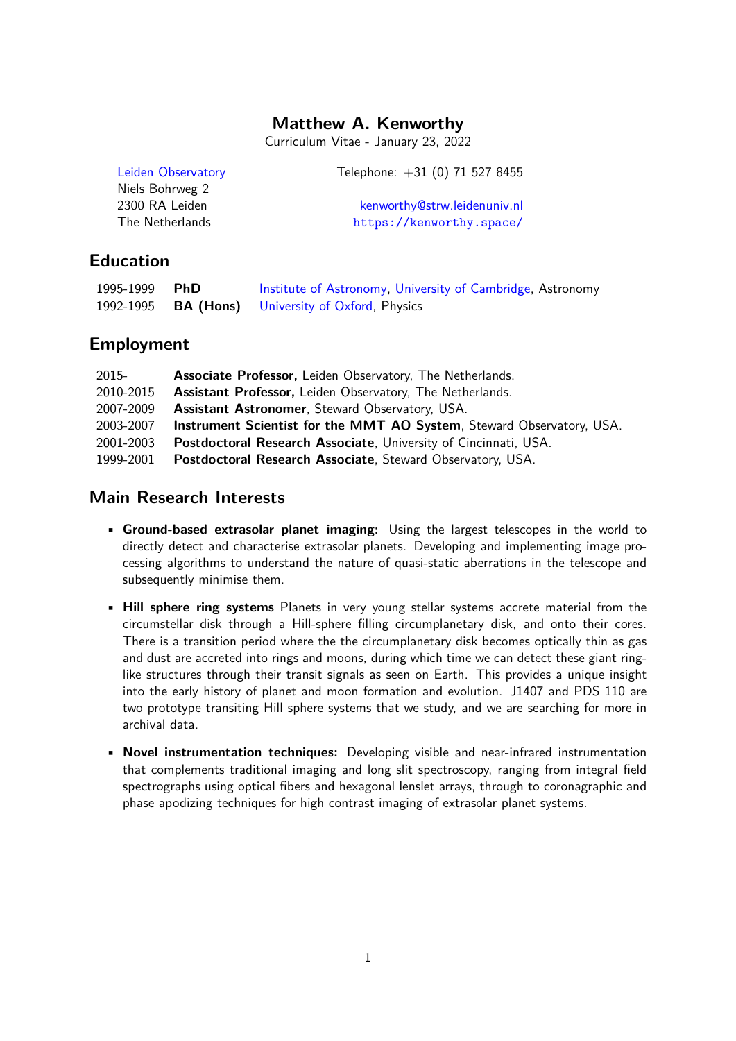## **Matthew A. Kenworthy**

Curriculum Vitae - January 23, 2022

| Leiden Observatory | Telephone: $+31$ (0) 71 527 8455 |  |
|--------------------|----------------------------------|--|
| Niels Bohrweg 2    |                                  |  |
| 2300 RA Leiden     | kenworthy@strw.leidenuniv.nl     |  |
| The Netherlands    | https://kenworthy.space/         |  |

## **Education**

| 1995-1999 PhD | Institute of Astronomy, University of Cambridge, Astronomy |
|---------------|------------------------------------------------------------|
|               | 1992-1995 <b>BA (Hons)</b> University of Oxford, Physics   |

#### **Employment**

| 2015-     | <b>Associate Professor, Leiden Observatory, The Netherlands.</b>      |
|-----------|-----------------------------------------------------------------------|
| 2010-2015 | <b>Assistant Professor, Leiden Observatory, The Netherlands.</b>      |
| 2007-2009 | <b>Assistant Astronomer, Steward Observatory, USA.</b>                |
| 2003-2007 | Instrument Scientist for the MMT AO System, Steward Observatory, USA. |
| 2001-2003 | Postdoctoral Research Associate, University of Cincinnati, USA.       |
| 1999-2001 | Postdoctoral Research Associate, Steward Observatory, USA.            |

## **Main Research Interests**

- **Ground-based extrasolar planet imaging:** Using the largest telescopes in the world to directly detect and characterise extrasolar planets. Developing and implementing image processing algorithms to understand the nature of quasi-static aberrations in the telescope and subsequently minimise them.
- **Hill sphere ring systems** Planets in very young stellar systems accrete material from the circumstellar disk through a Hill-sphere filling circumplanetary disk, and onto their cores. There is a transition period where the the circumplanetary disk becomes optically thin as gas and dust are accreted into rings and moons, during which time we can detect these giant ringlike structures through their transit signals as seen on Earth. This provides a unique insight into the early history of planet and moon formation and evolution. J1407 and PDS 110 are two prototype transiting Hill sphere systems that we study, and we are searching for more in archival data.
- **Novel instrumentation techniques:** Developing visible and near-infrared instrumentation that complements traditional imaging and long slit spectroscopy, ranging from integral field spectrographs using optical fibers and hexagonal lenslet arrays, through to coronagraphic and phase apodizing techniques for high contrast imaging of extrasolar planet systems.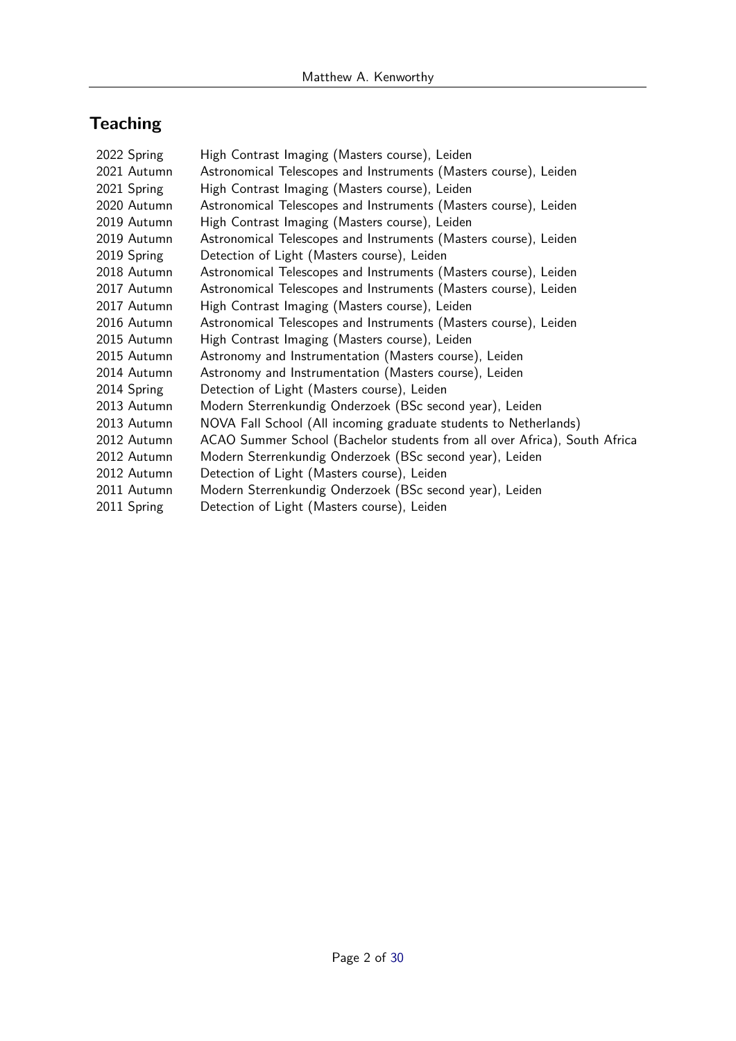# **Teaching**

| 2022 Spring | High Contrast Imaging (Masters course), Leiden                            |
|-------------|---------------------------------------------------------------------------|
| 2021 Autumn | Astronomical Telescopes and Instruments (Masters course), Leiden          |
| 2021 Spring | High Contrast Imaging (Masters course), Leiden                            |
| 2020 Autumn | Astronomical Telescopes and Instruments (Masters course), Leiden          |
| 2019 Autumn | High Contrast Imaging (Masters course), Leiden                            |
| 2019 Autumn | Astronomical Telescopes and Instruments (Masters course), Leiden          |
| 2019 Spring | Detection of Light (Masters course), Leiden                               |
| 2018 Autumn | Astronomical Telescopes and Instruments (Masters course), Leiden          |
| 2017 Autumn | Astronomical Telescopes and Instruments (Masters course), Leiden          |
| 2017 Autumn | High Contrast Imaging (Masters course), Leiden                            |
| 2016 Autumn | Astronomical Telescopes and Instruments (Masters course), Leiden          |
| 2015 Autumn | High Contrast Imaging (Masters course), Leiden                            |
| 2015 Autumn | Astronomy and Instrumentation (Masters course), Leiden                    |
| 2014 Autumn | Astronomy and Instrumentation (Masters course), Leiden                    |
| 2014 Spring | Detection of Light (Masters course), Leiden                               |
| 2013 Autumn | Modern Sterrenkundig Onderzoek (BSc second year), Leiden                  |
| 2013 Autumn | NOVA Fall School (All incoming graduate students to Netherlands)          |
| 2012 Autumn | ACAO Summer School (Bachelor students from all over Africa), South Africa |
| 2012 Autumn | Modern Sterrenkundig Onderzoek (BSc second year), Leiden                  |
| 2012 Autumn | Detection of Light (Masters course), Leiden                               |
| 2011 Autumn | Modern Sterrenkundig Onderzoek (BSc second year), Leiden                  |
| 2011 Spring | Detection of Light (Masters course), Leiden                               |
|             |                                                                           |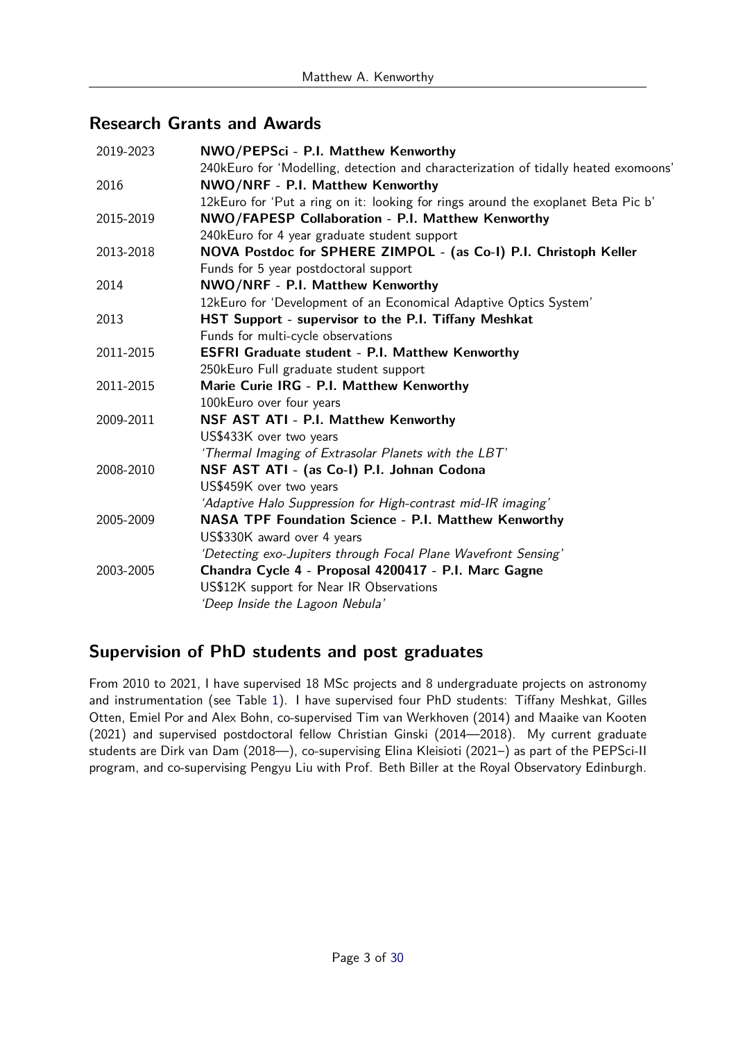## **Research Grants and Awards**

| 2019-2023 | NWO/PEPSci - P.I. Matthew Kenworthy                                                 |
|-----------|-------------------------------------------------------------------------------------|
|           | 240kEuro for 'Modelling, detection and characterization of tidally heated exomoons' |
| 2016      | NWO/NRF - P.I. Matthew Kenworthy                                                    |
|           | 12kEuro for 'Put a ring on it: looking for rings around the exoplanet Beta Pic b'   |
| 2015-2019 | NWO/FAPESP Collaboration - P.I. Matthew Kenworthy                                   |
|           | 240kEuro for 4 year graduate student support                                        |
| 2013-2018 | NOVA Postdoc for SPHERE ZIMPOL - (as Co-I) P.I. Christoph Keller                    |
|           | Funds for 5 year postdoctoral support                                               |
| 2014      | NWO/NRF - P.I. Matthew Kenworthy                                                    |
|           | 12kEuro for 'Development of an Economical Adaptive Optics System'                   |
| 2013      | HST Support - supervisor to the P.I. Tiffany Meshkat                                |
|           | Funds for multi-cycle observations                                                  |
| 2011-2015 | <b>ESFRI Graduate student - P.I. Matthew Kenworthy</b>                              |
|           | 250kEuro Full graduate student support                                              |
| 2011-2015 | Marie Curie IRG - P.I. Matthew Kenworthy                                            |
|           | 100kEuro over four years                                                            |
| 2009-2011 | NSF AST ATI - P.I. Matthew Kenworthy                                                |
|           | US\$433K over two years                                                             |
|           | 'Thermal Imaging of Extrasolar Planets with the LBT'                                |
| 2008-2010 | NSF AST ATI - (as Co-I) P.I. Johnan Codona                                          |
|           | US\$459K over two years                                                             |
|           | 'Adaptive Halo Suppression for High-contrast mid-IR imaging'                        |
| 2005-2009 | <b>NASA TPF Foundation Science - P.I. Matthew Kenworthy</b>                         |
|           | US\$330K award over 4 years                                                         |
|           | 'Detecting exo-Jupiters through Focal Plane Wavefront Sensing'                      |
| 2003-2005 | Chandra Cycle 4 - Proposal 4200417 - P.I. Marc Gagne                                |
|           | US\$12K support for Near IR Observations                                            |
|           | 'Deep Inside the Lagoon Nebula'                                                     |
|           |                                                                                     |

## **Supervision of PhD students and post graduates**

From 2010 to 2021, I have supervised 18 MSc projects and 8 undergraduate projects on astronomy and instrumentation (see Table [1\)](#page-3-0). I have supervised four PhD students: Tiffany Meshkat, Gilles Otten, Emiel Por and Alex Bohn, co-supervised Tim van Werkhoven (2014) and Maaike van Kooten (2021) and supervised postdoctoral fellow Christian Ginski (2014—2018). My current graduate students are Dirk van Dam (2018—), co-supervising Elina Kleisioti (2021–) as part of the PEPSci-II program, and co-supervising Pengyu Liu with Prof. Beth Biller at the Royal Observatory Edinburgh.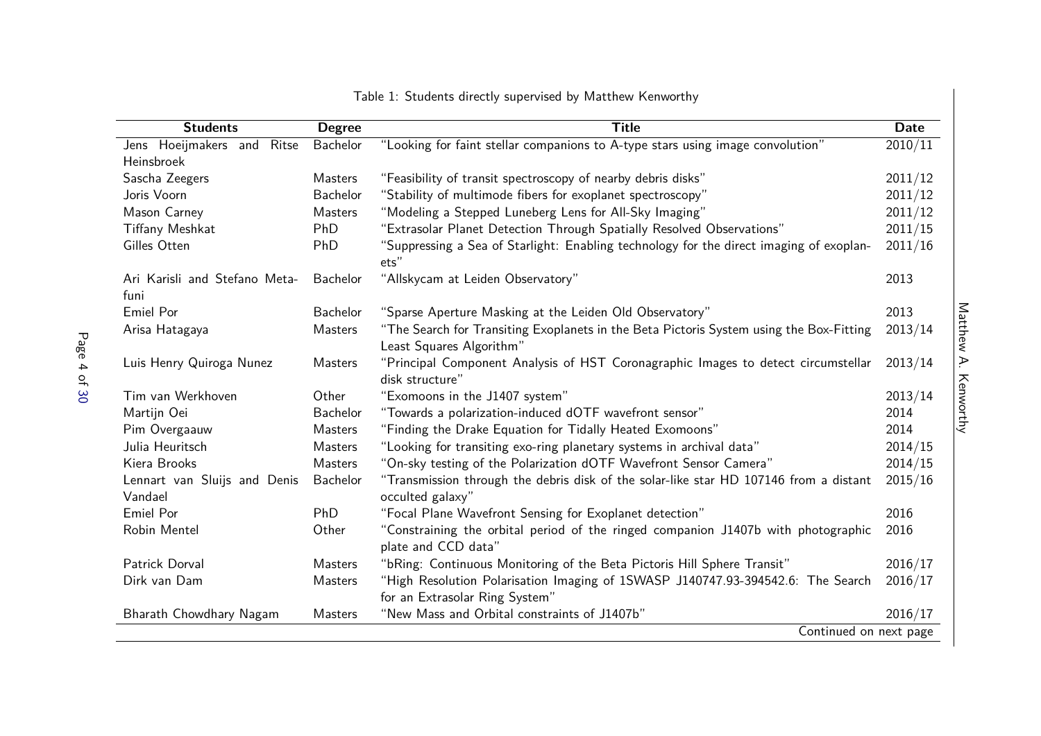<span id="page-3-0"></span>

| <b>Students</b>                         | <b>Degree</b>   | <b>Title</b>                                                                                              | <b>Date</b> |
|-----------------------------------------|-----------------|-----------------------------------------------------------------------------------------------------------|-------------|
| Jens Hoeijmakers and<br>Ritse           | Bachelor        | "Looking for faint stellar companions to A-type stars using image convolution"                            | 2010/11     |
| Heinsbroek                              |                 |                                                                                                           |             |
| Sascha Zeegers                          | Masters         | "Feasibility of transit spectroscopy of nearby debris disks"                                              | 2011/12     |
| Joris Voorn                             | Bachelor        | "Stability of multimode fibers for exoplanet spectroscopy"                                                | 2011/12     |
| Mason Carney                            | Masters         | "Modeling a Stepped Luneberg Lens for All-Sky Imaging"                                                    | 2011/12     |
| <b>Tiffany Meshkat</b>                  | PhD             | "Extrasolar Planet Detection Through Spatially Resolved Observations"                                     | 2011/15     |
| Gilles Otten                            | PhD             | "Suppressing a Sea of Starlight: Enabling technology for the direct imaging of exoplan-<br>ets"           | 2011/16     |
| Ari Karisli and Stefano Meta-           | <b>Bachelor</b> | "Allskycam at Leiden Observatory"                                                                         | 2013        |
| funi                                    |                 |                                                                                                           |             |
| Emiel Por                               | Bachelor        | "Sparse Aperture Masking at the Leiden Old Observatory"                                                   | 2013        |
| Arisa Hatagaya                          | Masters         | "The Search for Transiting Exoplanets in the Beta Pictoris System using the Box-Fitting                   | 2013/14     |
|                                         |                 | Least Squares Algorithm"                                                                                  |             |
| Luis Henry Quiroga Nunez                | Masters         | "Principal Component Analysis of HST Coronagraphic Images to detect circumstellar<br>disk structure"      | 2013/14     |
| Tim van Werkhoven                       | Other           | "Exomoons in the J1407 system"                                                                            | 2013/14     |
| Martijn Oei                             | <b>Bachelor</b> | "Towards a polarization-induced dOTF wavefront sensor"                                                    | 2014        |
| Pim Overgaauw                           | Masters         | "Finding the Drake Equation for Tidally Heated Exomoons"                                                  | 2014        |
| Julia Heuritsch                         | Masters         | "Looking for transiting exo-ring planetary systems in archival data"                                      | 2014/15     |
| Kiera Brooks                            | Masters         | "On-sky testing of the Polarization dOTF Wavefront Sensor Camera"                                         | 2014/15     |
| Lennart van Sluijs and Denis<br>Vandael | Bachelor        | "Transmission through the debris disk of the solar-like star HD 107146 from a distant<br>occulted galaxy" | 2015/16     |
| Emiel Por                               | PhD             | "Focal Plane Wavefront Sensing for Exoplanet detection"                                                   | 2016        |
| Robin Mentel                            | Other           | "Constraining the orbital period of the ringed companion J1407b with photographic                         | 2016        |
|                                         |                 | plate and CCD data"                                                                                       |             |
| Patrick Dorval                          | Masters         | "bRing: Continuous Monitoring of the Beta Pictoris Hill Sphere Transit"                                   | 2016/17     |
| Dirk van Dam                            | Masters         | "High Resolution Polarisation Imaging of 1SWASP J140747.93-394542.6: The Search                           | 2016/17     |
|                                         |                 | for an Extrasolar Ring System"                                                                            |             |
| Bharath Chowdhary Nagam                 | Masters         | "New Mass and Orbital constraints of J1407b"                                                              | 2016/17     |
|                                         |                 | Continued on next page                                                                                    |             |

Table 1: Students directly supervised by Matthew Kenworthy

Matthew A. Kenworthy Matthew A. Kenworthy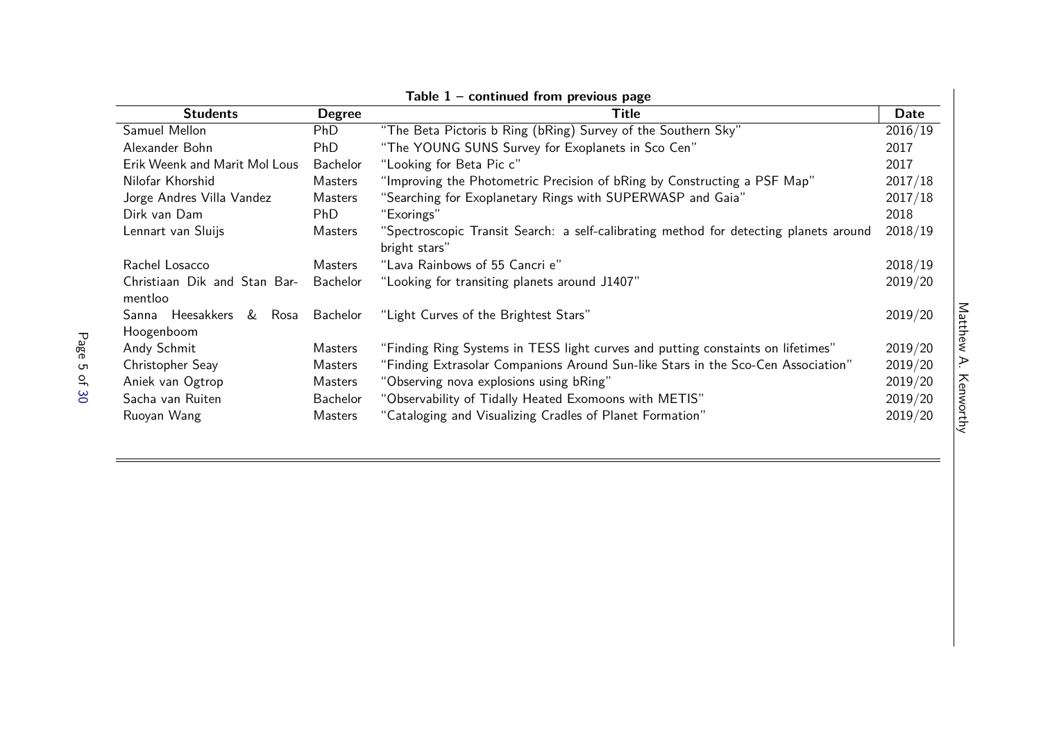|                                          |                 | $a$ rabig $I =$ continued from previous page                                                           |         |
|------------------------------------------|-----------------|--------------------------------------------------------------------------------------------------------|---------|
| <b>Students</b>                          | <b>Degree</b>   | Title                                                                                                  | Date    |
| Samuel Mellon                            | <b>PhD</b>      | "The Beta Pictoris b Ring (bRing) Survey of the Southern Sky"                                          | 2016/19 |
| Alexander Bohn                           | <b>PhD</b>      | "The YOUNG SUNS Survey for Exoplanets in Sco Cen"                                                      | 2017    |
| Erik Weenk and Marit Mol Lous            | <b>Bachelor</b> | "Looking for Beta Pic c"                                                                               | 2017    |
| Nilofar Khorshid                         | Masters         | "Improving the Photometric Precision of bRing by Constructing a PSF Map"                               | 2017/18 |
| Jorge Andres Villa Vandez                | Masters         | "Searching for Exoplanetary Rings with SUPERWASP and Gaia"                                             | 2017/18 |
| Dirk van Dam                             | PhD             | "Exorings"                                                                                             | 2018    |
| Lennart van Sluijs                       | Masters         | "Spectroscopic Transit Search: a self-calibrating method for detecting planets around<br>bright stars" | 2018/19 |
| Rachel Losacco                           | Masters         | "Lava Rainbows of 55 Cancri e"                                                                         | 2018/19 |
| Christiaan Dik and Stan Bar-<br>mentloo  | Bachelor        | "Looking for transiting planets around J1407"                                                          | 2019/20 |
| & Rosa<br>Sanna Heesakkers<br>Hoogenboom | <b>Bachelor</b> | "Light Curves of the Brightest Stars"                                                                  | 2019/20 |
| Andy Schmit                              | Masters         | "Finding Ring Systems in TESS light curves and putting constaints on lifetimes"                        | 2019/20 |
| Christopher Seay                         | Masters         | "Finding Extrasolar Companions Around Sun-like Stars in the Sco-Cen Association"                       | 2019/20 |
| Aniek van Ogtrop                         | Masters         | "Observing nova explosions using bRing"                                                                | 2019/20 |
| Sacha van Ruiten                         | <b>Bachelor</b> | "Observability of Tidally Heated Exomoons with METIS"                                                  | 2019/20 |
| Ruoyan Wang                              | Masters         | "Cataloging and Visualizing Cradles of Planet Formation"                                               | 2019/20 |

**Table 1 – continued from previous page**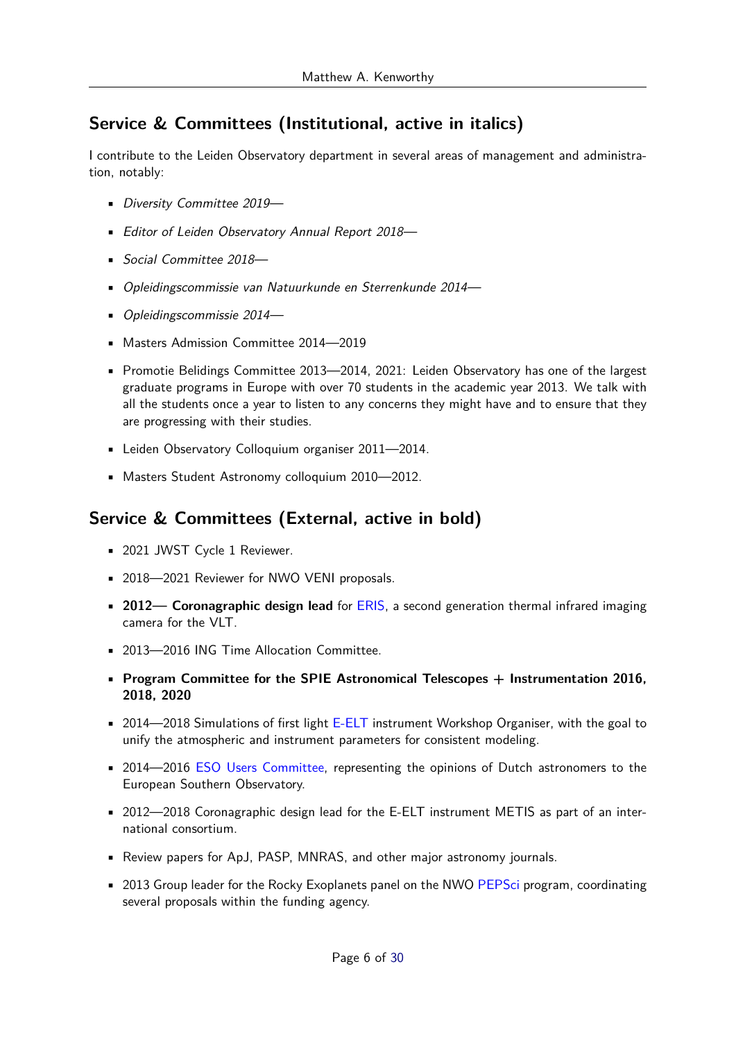## **Service & Committees (Institutional, active in italics)**

I contribute to the Leiden Observatory department in several areas of management and administration, notably:

- Diversity Committee 2019—
- Editor of Leiden Observatory Annual Report 2018—
- Social Committee 2018—
- Opleidingscommissie van Natuurkunde en Sterrenkunde 2014—
- Opleidingscommissie 2014—
- Masters Admission Committee 2014—2019
- Promotie Belidings Committee 2013—2014, 2021: Leiden Observatory has one of the largest graduate programs in Europe with over 70 students in the academic year 2013. We talk with all the students once a year to listen to any concerns they might have and to ensure that they are progressing with their studies.
- Leiden Observatory Colloquium organiser 2011—2014.
- Masters Student Astronomy colloquium 2010—2012.

## **Service & Committees (External, active in bold)**

- 2021 JWST Cycle 1 Reviewer.
- 2018-2021 Reviewer for NWO VENI proposals.
- **2012— Coronagraphic design lead** for [ERIS,](http://www.eso.org/sci/facilities/develop/instruments/eris.html) a second generation thermal infrared imaging camera for the VLT.
- 2013—2016 ING Time Allocation Committee.
- **Program Committee for the SPIE Astronomical Telescopes + Instrumentation 2016, 2018, 2020**
- 2014—2018 Simulations of first light [E-ELT](http://www.eso.org/public/unitedkingdom/teles-instr/e-elt/) instrument Workshop Organiser, with the goal to unify the atmospheric and instrument parameters for consistent modeling.
- 2014—2016 [ESO Users Committee,](http://www.eso.org/public/about-eso/committees/uc/uc2014.html) representing the opinions of Dutch astronomers to the European Southern Observatory.
- 2012—2018 Coronagraphic design lead for the E-ELT instrument METIS as part of an international consortium.
- Review papers for ApJ, PASP, MNRAS, and other major astronomy journals.
- 2013 Group leader for the Rocky Exoplanets panel on the NWO [PEPSci](http://www.nwo.nl/en/research-and-results/programmes/planetary+and+exoplanetary+research+programme) program, coordinating several proposals within the funding agency.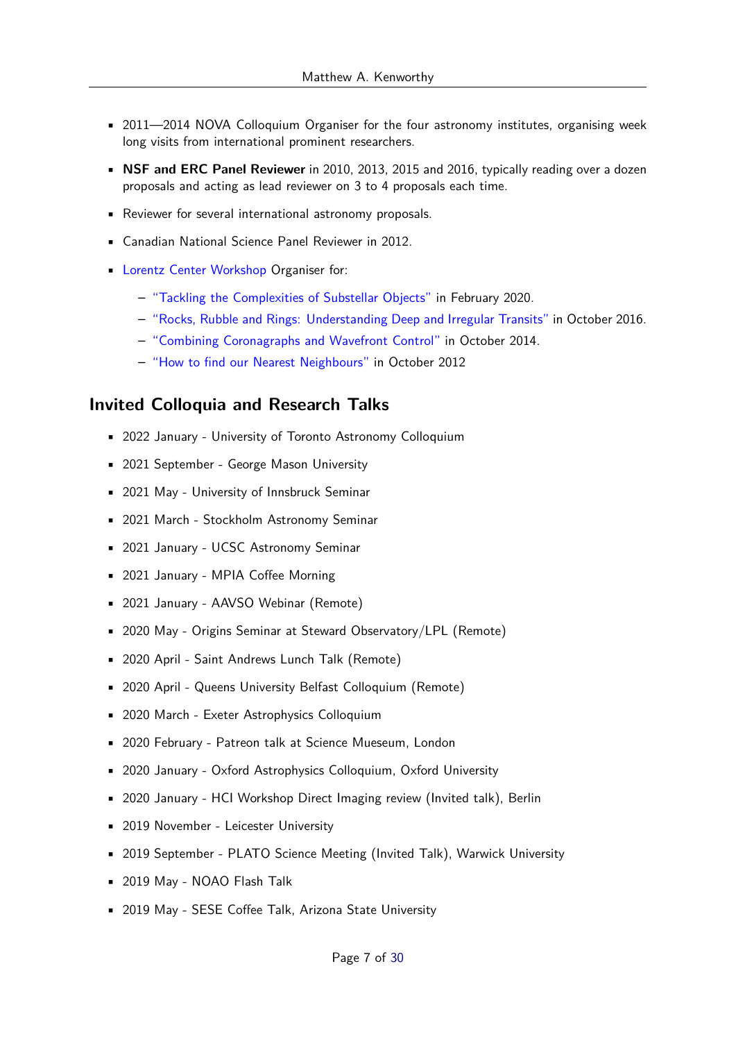- 2011—2014 NOVA Colloquium Organiser for the four astronomy institutes, organising week long visits from international prominent researchers.
- **NSF and ERC Panel Reviewer** in 2010, 2013, 2015 and 2016, typically reading over a dozen proposals and acting as lead reviewer on 3 to 4 proposals each time.
- Reviewer for several international astronomy proposals.
- Canadian National Science Panel Reviewer in 2012.
- [Lorentz Center Workshop](http://lorentzcenter.nl/) Organiser for:
	- **–** ["Tackling the Complexities of Substellar Objects"](https://www.lorentzcenter.nl/tackling-the-complexities-of-substellar-objects.html) in February 2020.
	- **–** ["Rocks, Rubble and Rings: Understanding Deep and Irregular Transits"](http://home.strw.leidenuniv.nl/~kenworthy/rocks_rubble_rings) in October 2016.
	- **–** ["Combining Coronagraphs and Wavefront Control"](http://home.strw.leidenuniv.nl/~kenworthy/nospeckles) in October 2014.
	- **–** ["How to find our Nearest Neighbours"](http://home.strw.leidenuniv.nl/~kenworthy/neighbours) in October 2012

### **Invited Colloquia and Research Talks**

- 2022 January University of Toronto Astronomy Colloquium
- 2021 September George Mason University
- 2021 May University of Innsbruck Seminar
- 2021 March Stockholm Astronomy Seminar
- 2021 January UCSC Astronomy Seminar
- 2021 January MPIA Coffee Morning
- 2021 January AAVSO Webinar (Remote)
- 2020 May Origins Seminar at Steward Observatory/LPL (Remote)
- 2020 April Saint Andrews Lunch Talk (Remote)
- 2020 April Queens University Belfast Colloquium (Remote)
- 2020 March Exeter Astrophysics Colloquium
- 2020 February Patreon talk at Science Mueseum, London
- 2020 January Oxford Astrophysics Colloquium, Oxford University
- 2020 January HCI Workshop Direct Imaging review (Invited talk), Berlin
- 2019 November Leicester University
- 2019 September PLATO Science Meeting (Invited Talk), Warwick University
- 2019 May NOAO Flash Talk
- 2019 May SESE Coffee Talk, Arizona State University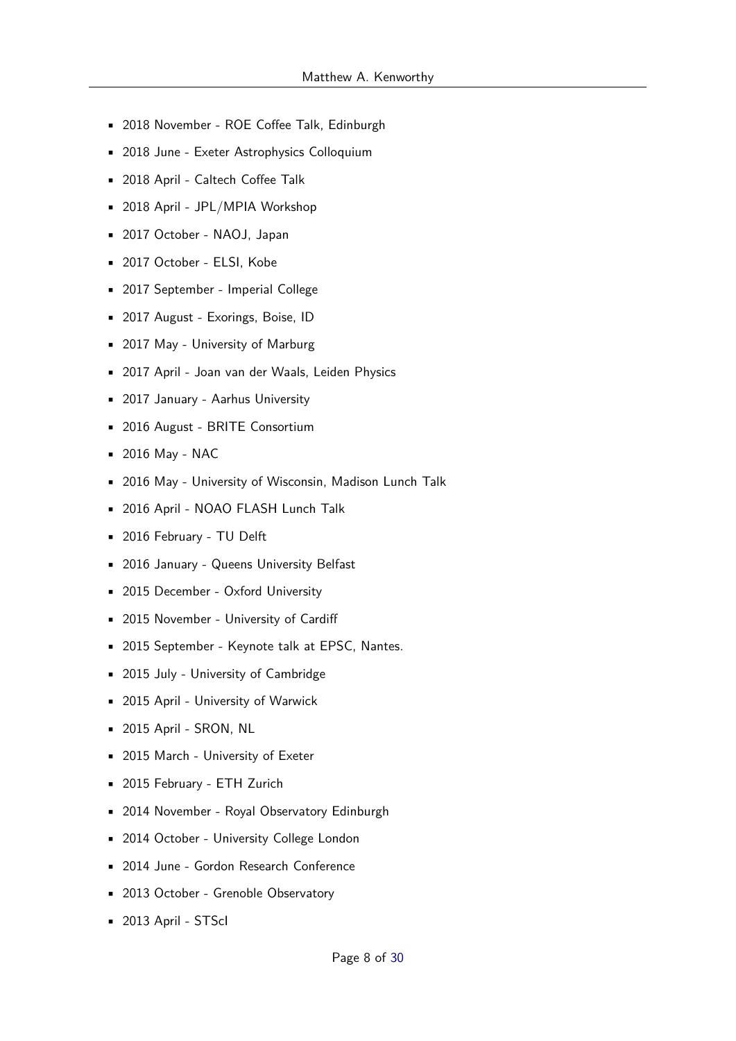- 2018 November ROE Coffee Talk, Edinburgh
- 2018 June Exeter Astrophysics Colloquium
- 2018 April Caltech Coffee Talk
- 2018 April JPL/MPIA Workshop
- 2017 October NAOJ, Japan
- 2017 October ELSI, Kobe
- 2017 September Imperial College
- 2017 August Exorings, Boise, ID
- 2017 May University of Marburg
- 2017 April Joan van der Waals, Leiden Physics
- 2017 January Aarhus University
- 2016 August BRITE Consortium
- 2016 May NAC
- 2016 May University of Wisconsin, Madison Lunch Talk
- 2016 April NOAO FLASH Lunch Talk
- 2016 February TU Delft
- 2016 January Queens University Belfast
- 2015 December Oxford University
- 2015 November University of Cardiff
- 2015 September Keynote talk at EPSC, Nantes.
- 2015 July University of Cambridge
- 2015 April University of Warwick
- 2015 April SRON, NL
- 2015 March University of Exeter
- 2015 February ETH Zurich
- 2014 November Royal Observatory Edinburgh
- 2014 October University College London
- 2014 June Gordon Research Conference
- 2013 October Grenoble Observatory
- 2013 April STScI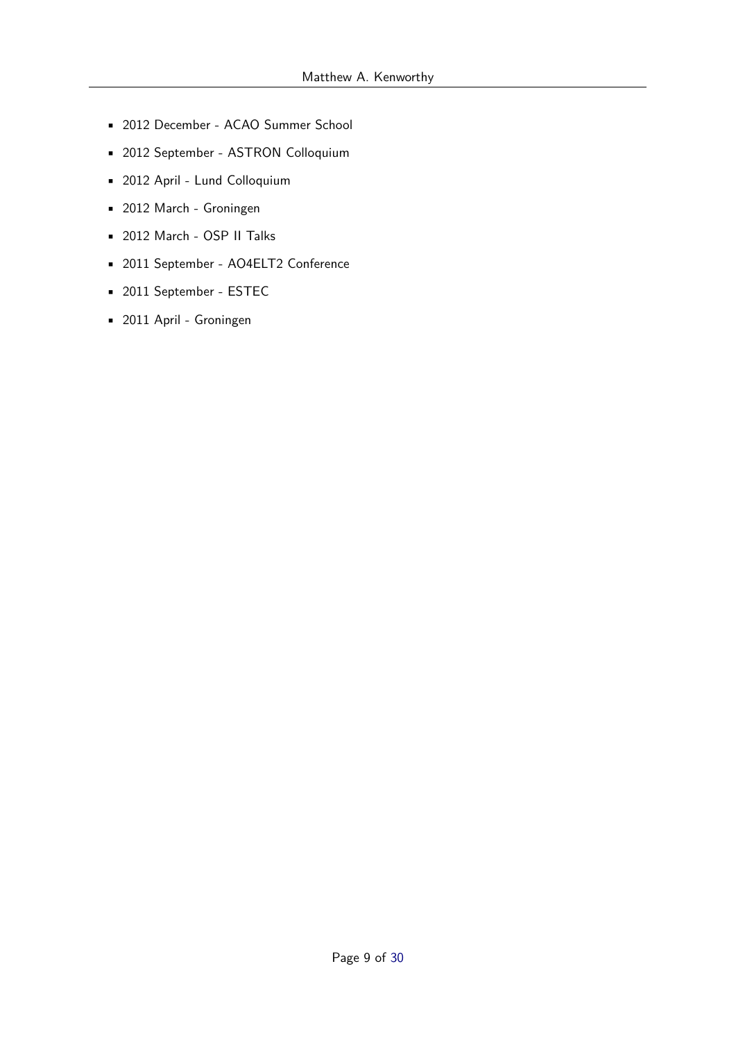- 2012 December ACAO Summer School
- 2012 September ASTRON Colloquium
- 2012 April Lund Colloquium
- 2012 March Groningen
- 2012 March OSP II Talks
- 2011 September AO4ELT2 Conference
- 2011 September ESTEC
- 2011 April Groningen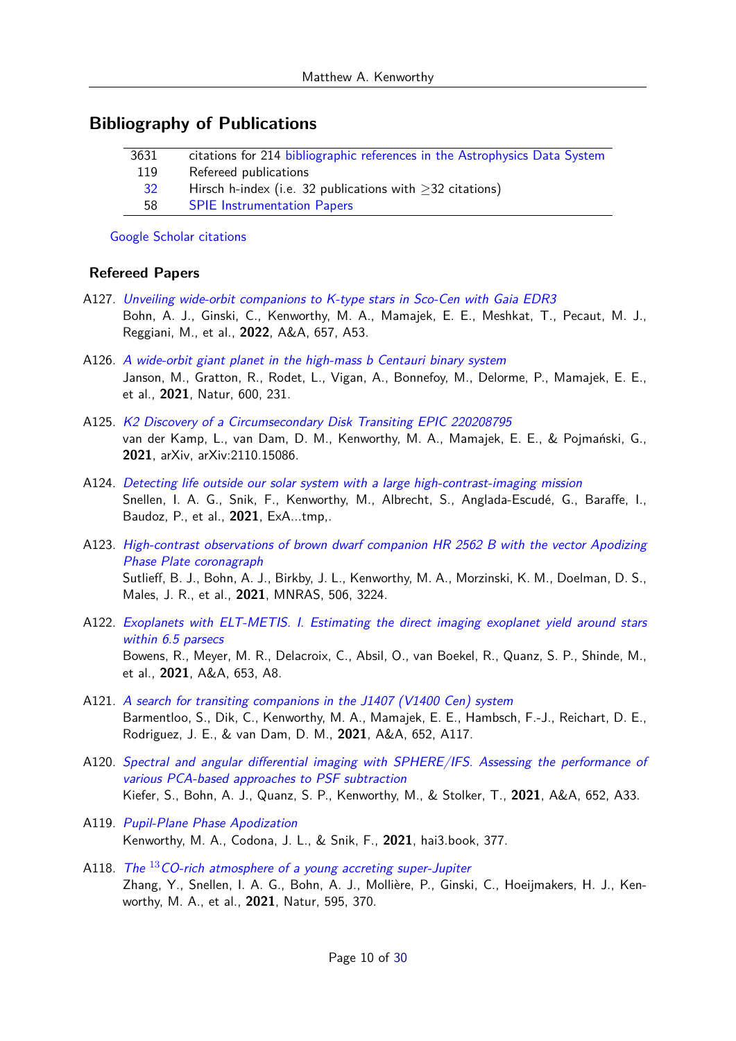### **Bibliography of Publications**

| citations for 214 bibliographic references in the Astrophysics Data System<br>3631 |  |
|------------------------------------------------------------------------------------|--|
| 119<br>Refereed publications                                                       |  |
| Hirsch h-index (i.e. 32 publications with $\geq$ 32 citations)<br><sup>32</sup>    |  |
| <b>SPIE</b> Instrumentation Papers<br>58                                           |  |

[Google Scholar citations](http://scholar.google.nl/citations?user=jEu1Ad4AAAAJ&hl=en)

#### **Refereed Papers**

- A127. [Unveiling wide-orbit companions to K-type stars in Sco-Cen with Gaia EDR3](https://ui.adsabs.harvard.edu/abs/2022A&A...657A..53B) Bohn, A. J., Ginski, C., Kenworthy, M. A., Mamajek, E. E., Meshkat, T., Pecaut, M. J., Reggiani, M., et al., **2022**, A&A, 657, A53.
- A126. [A wide-orbit giant planet in the high-mass b Centauri binary system](https://ui.adsabs.harvard.edu/abs/2021Natur.600..231J) Janson, M., Gratton, R., Rodet, L., Vigan, A., Bonnefoy, M., Delorme, P., Mamajek, E. E., et al., **2021**, Natur, 600, 231.
- A125. [K2 Discovery of a Circumsecondary Disk Transiting EPIC 220208795](https://ui.adsabs.harvard.edu/abs/2021arXiv211015086V) van der Kamp, L., van Dam, D. M., Kenworthy, M. A., Mamajek, E. E., & Pojmański, G., **2021**, arXiv, arXiv:2110.15086.
- A124. [Detecting life outside our solar system with a large high-contrast-imaging mission](https://ui.adsabs.harvard.edu/abs/2021ExA...tmp..124S) Snellen, I. A. G., Snik, F., Kenworthy, M., Albrecht, S., Anglada-Escudé, G., Baraffe, I., Baudoz, P., et al., **2021**, ExA...tmp,.
- A123. [High-contrast observations of brown dwarf companion HR 2562 B with the vector Apodizing](https://ui.adsabs.harvard.edu/abs/2021MNRAS.506.3224S) [Phase Plate coronagraph](https://ui.adsabs.harvard.edu/abs/2021MNRAS.506.3224S) Sutlieff, B. J., Bohn, A. J., Birkby, J. L., Kenworthy, M. A., Morzinski, K. M., Doelman, D. S., Males, J. R., et al., **2021**, MNRAS, 506, 3224.
- A122. [Exoplanets with ELT-METIS. I. Estimating the direct imaging exoplanet yield around stars](https://ui.adsabs.harvard.edu/abs/2021A&A...653A...8B) [within 6.5 parsecs](https://ui.adsabs.harvard.edu/abs/2021A&A...653A...8B) Bowens, R., Meyer, M. R., Delacroix, C., Absil, O., van Boekel, R., Quanz, S. P., Shinde, M., et al., **2021**, A&A, 653, A8.
- A121. [A search for transiting companions in the J1407 \(V1400 Cen\) system](https://ui.adsabs.harvard.edu/abs/2021A&A...652A.117B) Barmentloo, S., Dik, C., Kenworthy, M. A., Mamajek, E. E., Hambsch, F.-J., Reichart, D. E., Rodriguez, J. E., & van Dam, D. M., **2021**, A&A, 652, A117.
- A120. [Spectral and angular differential imaging with SPHERE/IFS. Assessing the performance of](https://ui.adsabs.harvard.edu/abs/2021A&A...652A..33K) [various PCA-based approaches to PSF subtraction](https://ui.adsabs.harvard.edu/abs/2021A&A...652A..33K) Kiefer, S., Bohn, A. J., Quanz, S. P., Kenworthy, M., & Stolker, T., **2021**, A&A, 652, A33.
- A119. [Pupil-Plane Phase Apodization](https://ui.adsabs.harvard.edu/abs/2021hai3.book..377K) Kenworthy, M. A., Codona, J. L., & Snik, F., **2021**, hai3.book, 377.
- A118. The  $^{13}$ [CO-rich atmosphere of a young accreting super-Jupiter](https://ui.adsabs.harvard.edu/abs/2021Natur.595..370Z) Zhang, Y., Snellen, I. A. G., Bohn, A. J., Mollière, P., Ginski, C., Hoeijmakers, H. J., Kenworthy, M. A., et al., **2021**, Natur, 595, 370.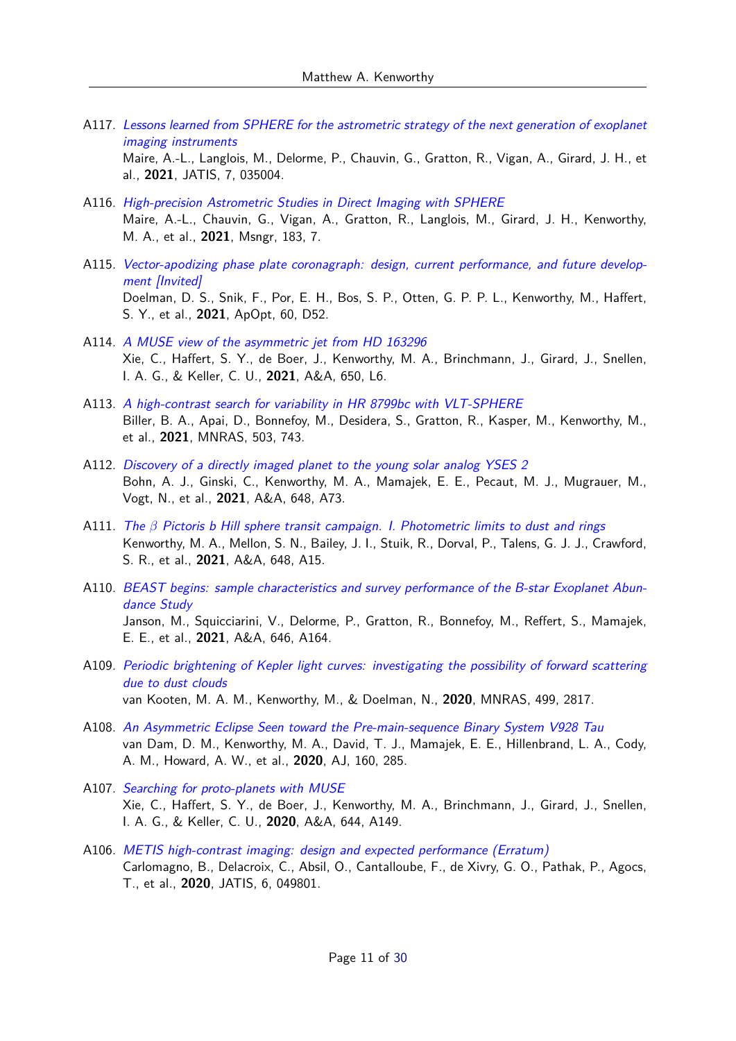A117. [Lessons learned from SPHERE for the astrometric strategy of the next generation of exoplanet](https://ui.adsabs.harvard.edu/abs/2021JATIS...7c5004M) [imaging instruments](https://ui.adsabs.harvard.edu/abs/2021JATIS...7c5004M)

Maire, A.-L., Langlois, M., Delorme, P., Chauvin, G., Gratton, R., Vigan, A., Girard, J. H., et al., **2021**, JATIS, 7, 035004.

- A116. [High-precision Astrometric Studies in Direct Imaging with SPHERE](https://ui.adsabs.harvard.edu/abs/2021Msngr.183....7M) Maire, A.-L., Chauvin, G., Vigan, A., Gratton, R., Langlois, M., Girard, J. H., Kenworthy, M. A., et al., **2021**, Msngr, 183, 7.
- A115. [Vector-apodizing phase plate coronagraph: design, current performance, and future develop](https://ui.adsabs.harvard.edu/abs/2021ApOpt..60D..52D)[ment \[Invited\]](https://ui.adsabs.harvard.edu/abs/2021ApOpt..60D..52D) Doelman, D. S., Snik, F., Por, E. H., Bos, S. P., Otten, G. P. P. L., Kenworthy, M., Haffert, S. Y., et al., **2021**, ApOpt, 60, D52.
- A114. [A MUSE view of the asymmetric jet from HD 163296](https://ui.adsabs.harvard.edu/abs/2021A&A...650L...6X) Xie, C., Haffert, S. Y., de Boer, J., Kenworthy, M. A., Brinchmann, J., Girard, J., Snellen, I. A. G., & Keller, C. U., **2021**, A&A, 650, L6.
- A113. [A high-contrast search for variability in HR 8799bc with VLT-SPHERE](https://ui.adsabs.harvard.edu/abs/2021MNRAS.503..743B) Biller, B. A., Apai, D., Bonnefoy, M., Desidera, S., Gratton, R., Kasper, M., Kenworthy, M., et al., **2021**, MNRAS, 503, 743.
- A112. [Discovery of a directly imaged planet to the young solar analog YSES 2](https://ui.adsabs.harvard.edu/abs/2021A&A...648A..73B) Bohn, A. J., Ginski, C., Kenworthy, M. A., Mamajek, E. E., Pecaut, M. J., Mugrauer, M., Vogt, N., et al., **2021**, A&A, 648, A73.
- A111. The *β* [Pictoris b Hill sphere transit campaign. I. Photometric limits to dust and rings](https://ui.adsabs.harvard.edu/abs/2021A&A...648A..15K) Kenworthy, M. A., Mellon, S. N., Bailey, J. I., Stuik, R., Dorval, P., Talens, G. J. J., Crawford, S. R., et al., **2021**, A&A, 648, A15.
- A110. [BEAST begins: sample characteristics and survey performance of the B-star Exoplanet Abun](https://ui.adsabs.harvard.edu/abs/2021A&A...646A.164J)[dance Study](https://ui.adsabs.harvard.edu/abs/2021A&A...646A.164J) Janson, M., Squicciarini, V., Delorme, P., Gratton, R., Bonnefoy, M., Reffert, S., Mamajek, E. E., et al., **2021**, A&A, 646, A164.
- A109. [Periodic brightening of Kepler light curves: investigating the possibility of forward scattering](https://ui.adsabs.harvard.edu/abs/2020MNRAS.499.2817V) [due to dust clouds](https://ui.adsabs.harvard.edu/abs/2020MNRAS.499.2817V) van Kooten, M. A. M., Kenworthy, M., & Doelman, N., **2020**, MNRAS, 499, 2817.
- A108. [An Asymmetric Eclipse Seen toward the Pre-main-sequence Binary System V928 Tau](https://ui.adsabs.harvard.edu/abs/2020AJ....160..285V) van Dam, D. M., Kenworthy, M. A., David, T. J., Mamajek, E. E., Hillenbrand, L. A., Cody, A. M., Howard, A. W., et al., **2020**, AJ, 160, 285.
- A107. [Searching for proto-planets with MUSE](https://ui.adsabs.harvard.edu/abs/2020A&A...644A.149X) Xie, C., Haffert, S. Y., de Boer, J., Kenworthy, M. A., Brinchmann, J., Girard, J., Snellen, I. A. G., & Keller, C. U., **2020**, A&A, 644, A149.
- A106. [METIS high-contrast imaging: design and expected performance \(Erratum\)](https://ui.adsabs.harvard.edu/abs/2020JATIS...6d9801C) Carlomagno, B., Delacroix, C., Absil, O., Cantalloube, F., de Xivry, G. O., Pathak, P., Agocs, T., et al., **2020**, JATIS, 6, 049801.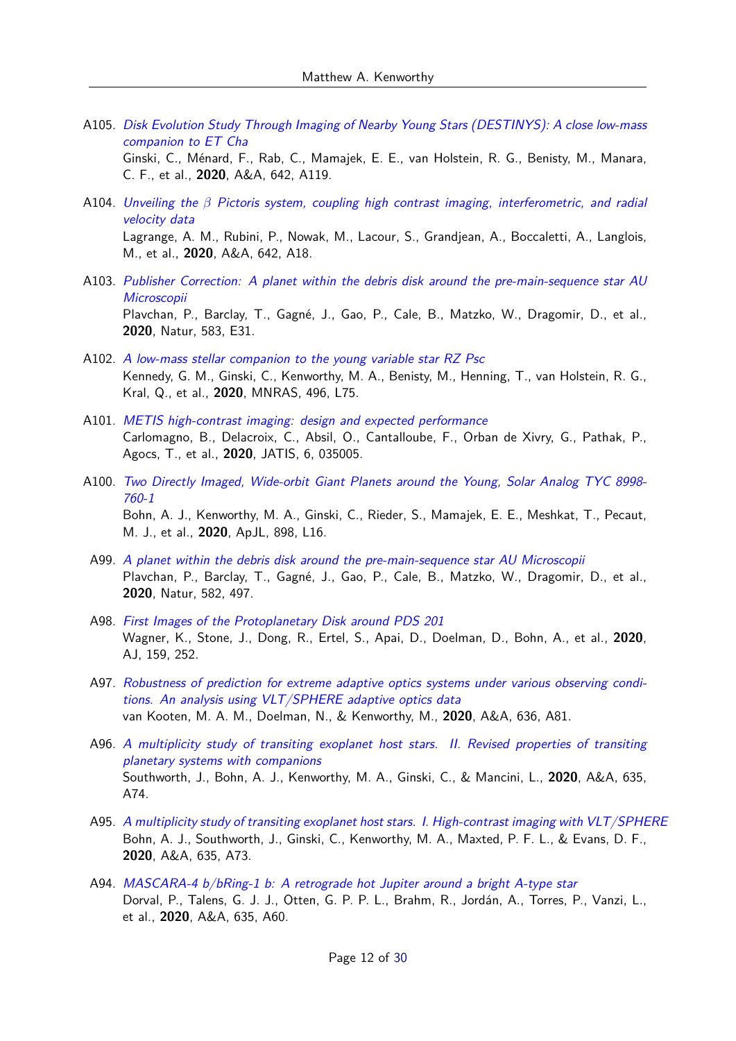A105. [Disk Evolution Study Through Imaging of Nearby Young Stars \(DESTINYS\): A close low-mass](https://ui.adsabs.harvard.edu/abs/2020A&A...642A.119G) [companion to ET Cha](https://ui.adsabs.harvard.edu/abs/2020A&A...642A.119G)

Ginski, C., Ménard, F., Rab, C., Mamajek, E. E., van Holstein, R. G., Benisty, M., Manara, C. F., et al., **2020**, A&A, 642, A119.

- A104. Unveiling the *β* [Pictoris system, coupling high contrast imaging, interferometric, and radial](https://ui.adsabs.harvard.edu/abs/2020A&A...642A..18L) [velocity data](https://ui.adsabs.harvard.edu/abs/2020A&A...642A..18L) Lagrange, A. M., Rubini, P., Nowak, M., Lacour, S., Grandjean, A., Boccaletti, A., Langlois, M., et al., **2020**, A&A, 642, A18.
- A103. [Publisher Correction: A planet within the debris disk around the pre-main-sequence star AU](https://ui.adsabs.harvard.edu/abs/2020Natur.583E..31P) **[Microscopii](https://ui.adsabs.harvard.edu/abs/2020Natur.583E..31P)** Plavchan, P., Barclay, T., Gagné, J., Gao, P., Cale, B., Matzko, W., Dragomir, D., et al., **2020**, Natur, 583, E31.
- A102. [A low-mass stellar companion to the young variable star RZ Psc](https://ui.adsabs.harvard.edu/abs/2020MNRAS.496L..75K) Kennedy, G. M., Ginski, C., Kenworthy, M. A., Benisty, M., Henning, T., van Holstein, R. G., Kral, Q., et al., **2020**, MNRAS, 496, L75.
- A101. [METIS high-contrast imaging: design and expected performance](https://ui.adsabs.harvard.edu/abs/2020JATIS...6c5005C) Carlomagno, B., Delacroix, C., Absil, O., Cantalloube, F., Orban de Xivry, G., Pathak, P., Agocs, T., et al., **2020**, JATIS, 6, 035005.
- A100. [Two Directly Imaged, Wide-orbit Giant Planets around the Young, Solar Analog TYC 8998-](https://ui.adsabs.harvard.edu/abs/2020ApJ...898L..16B) [760-1](https://ui.adsabs.harvard.edu/abs/2020ApJ...898L..16B) Bohn, A. J., Kenworthy, M. A., Ginski, C., Rieder, S., Mamajek, E. E., Meshkat, T., Pecaut, M. J., et al., **2020**, ApJL, 898, L16.
- A99. [A planet within the debris disk around the pre-main-sequence star AU Microscopii](https://ui.adsabs.harvard.edu/abs/2020Natur.582..497P) Plavchan, P., Barclay, T., Gagné, J., Gao, P., Cale, B., Matzko, W., Dragomir, D., et al., **2020**, Natur, 582, 497.
- A98. [First Images of the Protoplanetary Disk around PDS 201](https://ui.adsabs.harvard.edu/abs/2020AJ....159..252W) Wagner, K., Stone, J., Dong, R., Ertel, S., Apai, D., Doelman, D., Bohn, A., et al., **2020**, AJ, 159, 252.
- A97. [Robustness of prediction for extreme adaptive optics systems under various observing condi](https://ui.adsabs.harvard.edu/abs/2020A&A...636A..81V)[tions. An analysis using VLT/SPHERE adaptive optics data](https://ui.adsabs.harvard.edu/abs/2020A&A...636A..81V) van Kooten, M. A. M., Doelman, N., & Kenworthy, M., **2020**, A&A, 636, A81.
- A96. [A multiplicity study of transiting exoplanet host stars. II. Revised properties of transiting](https://ui.adsabs.harvard.edu/abs/2020A&A...635A..74S) [planetary systems with companions](https://ui.adsabs.harvard.edu/abs/2020A&A...635A..74S) Southworth, J., Bohn, A. J., Kenworthy, M. A., Ginski, C., & Mancini, L., **2020**, A&A, 635, A74.
- A95. [A multiplicity study of transiting exoplanet host stars. I. High-contrast imaging with VLT/SPHERE](https://ui.adsabs.harvard.edu/abs/2020A&A...635A..73B) Bohn, A. J., Southworth, J., Ginski, C., Kenworthy, M. A., Maxted, P. F. L., & Evans, D. F., **2020**, A&A, 635, A73.
- A94. [MASCARA-4 b/bRing-1 b: A retrograde hot Jupiter around a bright A-type star](https://ui.adsabs.harvard.edu/abs/2020A&A...635A..60D) Dorval, P., Talens, G. J. J., Otten, G. P. P. L., Brahm, R., Jordán, A., Torres, P., Vanzi, L., et al., **2020**, A&A, 635, A60.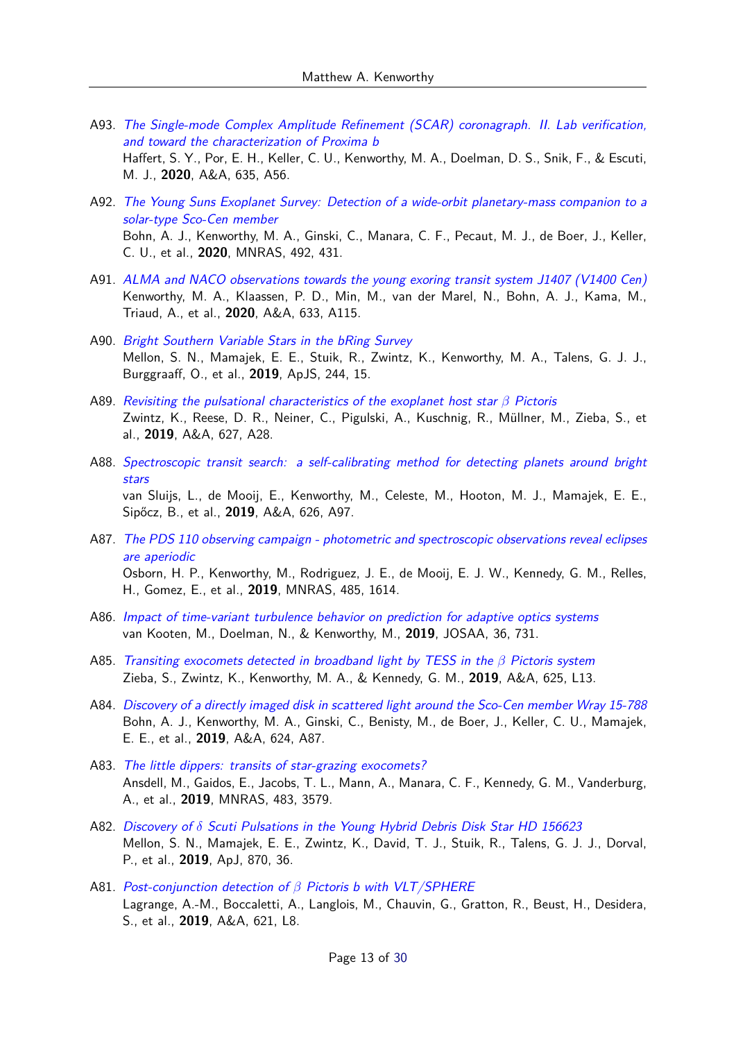- A93. [The Single-mode Complex Amplitude Refinement \(SCAR\) coronagraph. II. Lab verification,](https://ui.adsabs.harvard.edu/abs/2020A&A...635A..56H) [and toward the characterization of Proxima b](https://ui.adsabs.harvard.edu/abs/2020A&A...635A..56H) Haffert, S. Y., Por, E. H., Keller, C. U., Kenworthy, M. A., Doelman, D. S., Snik, F., & Escuti, M. J., **2020**, A&A, 635, A56.
- A92. [The Young Suns Exoplanet Survey: Detection of a wide-orbit planetary-mass companion to a](https://ui.adsabs.harvard.edu/abs/2020MNRAS.492..431B) [solar-type Sco-Cen member](https://ui.adsabs.harvard.edu/abs/2020MNRAS.492..431B) Bohn, A. J., Kenworthy, M. A., Ginski, C., Manara, C. F., Pecaut, M. J., de Boer, J., Keller, C. U., et al., **2020**, MNRAS, 492, 431.
- A91. [ALMA and NACO observations towards the young exoring transit system J1407 \(V1400 Cen\)](https://ui.adsabs.harvard.edu/abs/2020A&A...633A.115K) Kenworthy, M. A., Klaassen, P. D., Min, M., van der Marel, N., Bohn, A. J., Kama, M., Triaud, A., et al., **2020**, A&A, 633, A115.
- A90. [Bright Southern Variable Stars in the bRing Survey](https://ui.adsabs.harvard.edu/abs/2019ApJS..244...15M) Mellon, S. N., Mamajek, E. E., Stuik, R., Zwintz, K., Kenworthy, M. A., Talens, G. J. J., Burggraaff, O., et al., **2019**, ApJS, 244, 15.
- A89. [Revisiting the pulsational characteristics of the exoplanet host star](https://ui.adsabs.harvard.edu/abs/2019A&A...627A..28Z) *β* Pictoris Zwintz, K., Reese, D. R., Neiner, C., Pigulski, A., Kuschnig, R., Müllner, M., Zieba, S., et al., **2019**, A&A, 627, A28.
- A88. [Spectroscopic transit search: a self-calibrating method for detecting planets around bright](https://ui.adsabs.harvard.edu/abs/2019A&A...626A..97V) [stars](https://ui.adsabs.harvard.edu/abs/2019A&A...626A..97V) van Sluijs, L., de Mooij, E., Kenworthy, M., Celeste, M., Hooton, M. J., Mamajek, E. E., Sipőcz, B., et al., **2019**, A&A, 626, A97.
- A87. [The PDS 110 observing campaign photometric and spectroscopic observations reveal eclipses](https://ui.adsabs.harvard.edu/abs/2019MNRAS.485.1614O) [are aperiodic](https://ui.adsabs.harvard.edu/abs/2019MNRAS.485.1614O) Osborn, H. P., Kenworthy, M., Rodriguez, J. E., de Mooij, E. J. W., Kennedy, G. M., Relles, H., Gomez, E., et al., **2019**, MNRAS, 485, 1614.
- A86. [Impact of time-variant turbulence behavior on prediction for adaptive optics systems](https://ui.adsabs.harvard.edu/abs/2019JOSAA..36..731V) van Kooten, M., Doelman, N., & Kenworthy, M., **2019**, JOSAA, 36, 731.
- A85. [Transiting exocomets detected in broadband light by TESS in the](https://ui.adsabs.harvard.edu/abs/2019A&A...625L..13Z) *β* Pictoris system Zieba, S., Zwintz, K., Kenworthy, M. A., & Kennedy, G. M., **2019**, A&A, 625, L13.
- A84. [Discovery of a directly imaged disk in scattered light around the Sco-Cen member Wray 15-788](https://ui.adsabs.harvard.edu/abs/2019A&A...624A..87B) Bohn, A. J., Kenworthy, M. A., Ginski, C., Benisty, M., de Boer, J., Keller, C. U., Mamajek, E. E., et al., **2019**, A&A, 624, A87.
- A83. [The little dippers: transits of star-grazing exocomets?](https://ui.adsabs.harvard.edu/abs/2019MNRAS.483.3579A) Ansdell, M., Gaidos, E., Jacobs, T. L., Mann, A., Manara, C. F., Kennedy, G. M., Vanderburg, A., et al., **2019**, MNRAS, 483, 3579.
- A82. Discovery of *δ* [Scuti Pulsations in the Young Hybrid Debris Disk Star HD 156623](https://ui.adsabs.harvard.edu/abs/2019ApJ...870...36M) Mellon, S. N., Mamajek, E. E., Zwintz, K., David, T. J., Stuik, R., Talens, G. J. J., Dorval, P., et al., **2019**, ApJ, 870, 36.
- A81. Post-conjunction detection of *β* [Pictoris b with VLT/SPHERE](https://ui.adsabs.harvard.edu/abs/2019A&A...621L...8L) Lagrange, A.-M., Boccaletti, A., Langlois, M., Chauvin, G., Gratton, R., Beust, H., Desidera, S., et al., **2019**, A&A, 621, L8.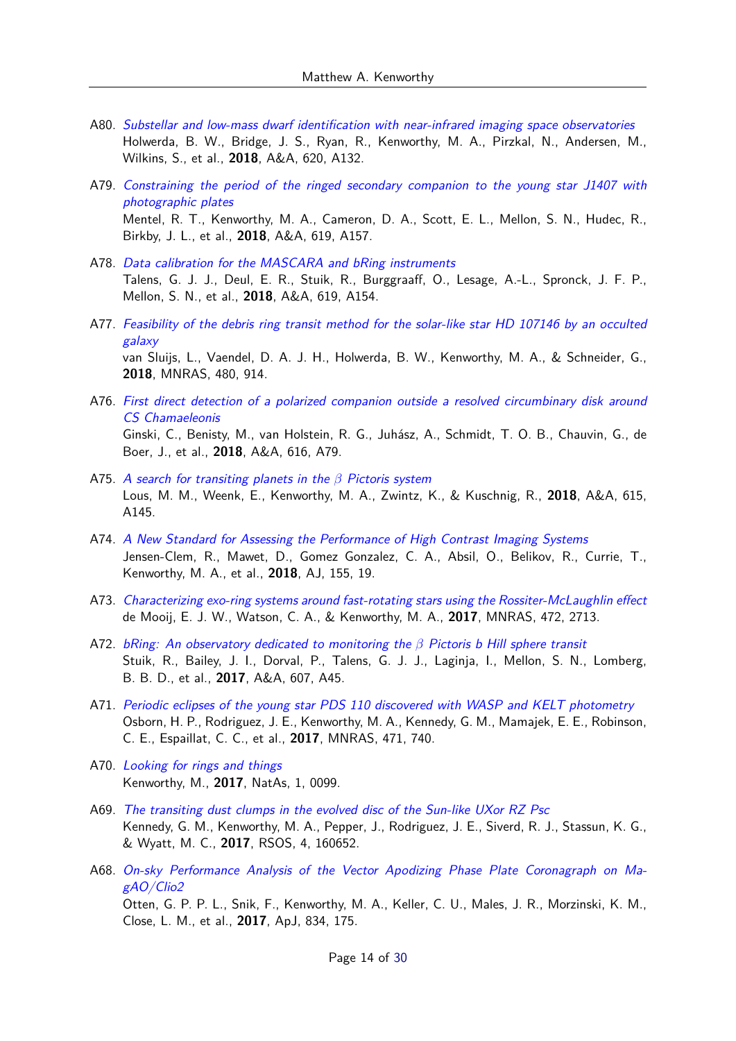- A80. [Substellar and low-mass dwarf identification with near-infrared imaging space observatories](https://ui.adsabs.harvard.edu/abs/2018A&A...620A.132H) Holwerda, B. W., Bridge, J. S., Ryan, R., Kenworthy, M. A., Pirzkal, N., Andersen, M., Wilkins, S., et al., **2018**, A&A, 620, A132.
- A79. [Constraining the period of the ringed secondary companion to the young star J1407 with](https://ui.adsabs.harvard.edu/abs/2018A&A...619A.157M) [photographic plates](https://ui.adsabs.harvard.edu/abs/2018A&A...619A.157M) Mentel, R. T., Kenworthy, M. A., Cameron, D. A., Scott, E. L., Mellon, S. N., Hudec, R., Birkby, J. L., et al., **2018**, A&A, 619, A157.
- A78. [Data calibration for the MASCARA and bRing instruments](https://ui.adsabs.harvard.edu/abs/2018A&A...619A.154T) Talens, G. J. J., Deul, E. R., Stuik, R., Burggraaff, O., Lesage, A.-L., Spronck, J. F. P., Mellon, S. N., et al., **2018**, A&A, 619, A154.
- A77. [Feasibility of the debris ring transit method for the solar-like star HD 107146 by an occulted](https://ui.adsabs.harvard.edu/abs/2018MNRAS.480..914V) [galaxy](https://ui.adsabs.harvard.edu/abs/2018MNRAS.480..914V) van Sluijs, L., Vaendel, D. A. J. H., Holwerda, B. W., Kenworthy, M. A., & Schneider, G., **2018**, MNRAS, 480, 914.
- A76. [First direct detection of a polarized companion outside a resolved circumbinary disk around](https://ui.adsabs.harvard.edu/abs/2018A&A...616A..79G) [CS Chamaeleonis](https://ui.adsabs.harvard.edu/abs/2018A&A...616A..79G) Ginski, C., Benisty, M., van Holstein, R. G., Juhász, A., Schmidt, T. O. B., Chauvin, G., de Boer, J., et al., **2018**, A&A, 616, A79.
- A75. [A search for transiting planets in the](https://ui.adsabs.harvard.edu/abs/2018A&A...615A.145L) *β* Pictoris system Lous, M. M., Weenk, E., Kenworthy, M. A., Zwintz, K., & Kuschnig, R., **2018**, A&A, 615, A145.
- A74. [A New Standard for Assessing the Performance of High Contrast Imaging Systems](https://ui.adsabs.harvard.edu/abs/2018AJ....155...19J) Jensen-Clem, R., Mawet, D., Gomez Gonzalez, C. A., Absil, O., Belikov, R., Currie, T., Kenworthy, M. A., et al., **2018**, AJ, 155, 19.
- A73. [Characterizing exo-ring systems around fast-rotating stars using the Rossiter-McLaughlin effect](https://ui.adsabs.harvard.edu/abs/2017MNRAS.472.2713D) de Mooij, E. J. W., Watson, C. A., & Kenworthy, M. A., **2017**, MNRAS, 472, 2713.
- A72. [bRing: An observatory dedicated to monitoring the](https://ui.adsabs.harvard.edu/abs/2017A&A...607A..45S) *β* Pictoris b Hill sphere transit Stuik, R., Bailey, J. I., Dorval, P., Talens, G. J. J., Laginja, I., Mellon, S. N., Lomberg, B. B. D., et al., **2017**, A&A, 607, A45.
- A71. [Periodic eclipses of the young star PDS 110 discovered with WASP and KELT photometry](https://ui.adsabs.harvard.edu/abs/2017MNRAS.471..740O) Osborn, H. P., Rodriguez, J. E., Kenworthy, M. A., Kennedy, G. M., Mamajek, E. E., Robinson, C. E., Espaillat, C. C., et al., **2017**, MNRAS, 471, 740.
- A70. [Looking for rings and things](https://ui.adsabs.harvard.edu/abs/2017NatAs...1E..99K) Kenworthy, M., **2017**, NatAs, 1, 0099.
- A69. [The transiting dust clumps in the evolved disc of the Sun-like UXor RZ Psc](https://ui.adsabs.harvard.edu/abs/2017RSOS....460652K) Kennedy, G. M., Kenworthy, M. A., Pepper, J., Rodriguez, J. E., Siverd, R. J., Stassun, K. G., & Wyatt, M. C., **2017**, RSOS, 4, 160652.
- A68. [On-sky Performance Analysis of the Vector Apodizing Phase Plate Coronagraph on Ma](https://ui.adsabs.harvard.edu/abs/2017ApJ...834..175O)[gAO/Clio2](https://ui.adsabs.harvard.edu/abs/2017ApJ...834..175O) Otten, G. P. P. L., Snik, F., Kenworthy, M. A., Keller, C. U., Males, J. R., Morzinski, K. M., Close, L. M., et al., **2017**, ApJ, 834, 175.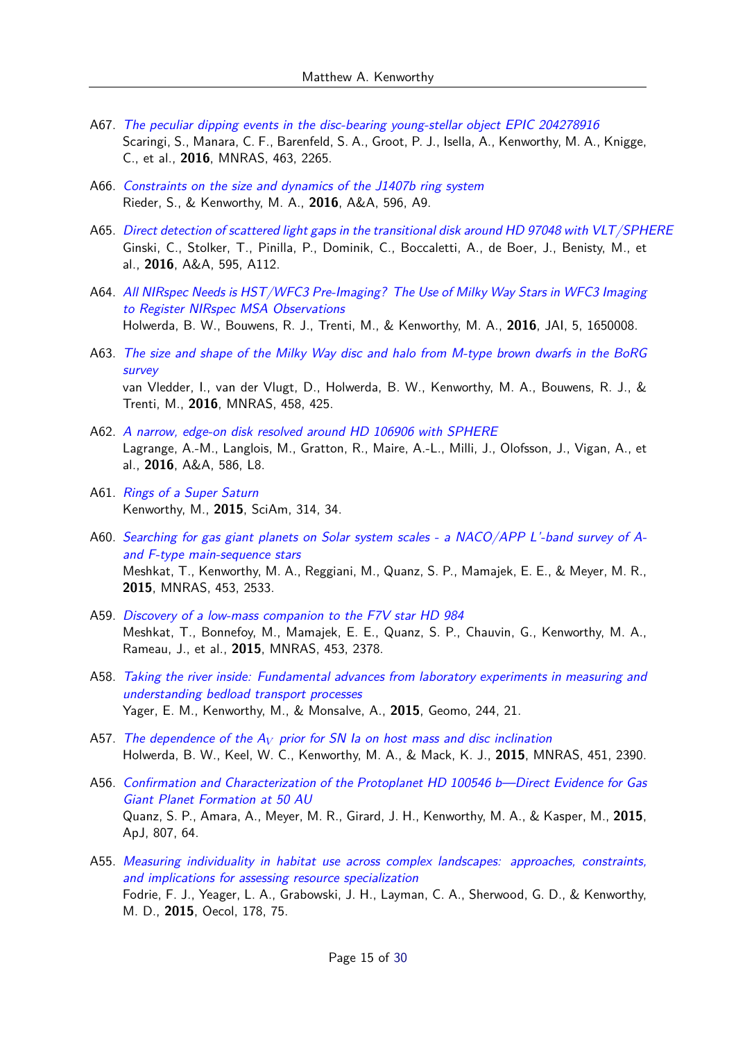- A67. [The peculiar dipping events in the disc-bearing young-stellar object EPIC 204278916](https://ui.adsabs.harvard.edu/abs/2016MNRAS.463.2265S) Scaringi, S., Manara, C. F., Barenfeld, S. A., Groot, P. J., Isella, A., Kenworthy, M. A., Knigge, C., et al., **2016**, MNRAS, 463, 2265.
- A66. [Constraints on the size and dynamics of the J1407b ring system](https://ui.adsabs.harvard.edu/abs/2016A&A...596A...9R) Rieder, S., & Kenworthy, M. A., **2016**, A&A, 596, A9.
- A65. [Direct detection of scattered light gaps in the transitional disk around HD 97048 with VLT/SPHERE](https://ui.adsabs.harvard.edu/abs/2016A&A...595A.112G) Ginski, C., Stolker, T., Pinilla, P., Dominik, C., Boccaletti, A., de Boer, J., Benisty, M., et al., **2016**, A&A, 595, A112.
- A64. [All NIRspec Needs is HST/WFC3 Pre-Imaging? The Use of Milky Way Stars in WFC3 Imaging](https://ui.adsabs.harvard.edu/abs/2016JAI.....550008H) [to Register NIRspec MSA Observations](https://ui.adsabs.harvard.edu/abs/2016JAI.....550008H) Holwerda, B. W., Bouwens, R. J., Trenti, M., & Kenworthy, M. A., **2016**, JAI, 5, 1650008.
- A63. [The size and shape of the Milky Way disc and halo from M-type brown dwarfs in the BoRG](https://ui.adsabs.harvard.edu/abs/2016MNRAS.458..425V) [survey](https://ui.adsabs.harvard.edu/abs/2016MNRAS.458..425V) van Vledder, I., van der Vlugt, D., Holwerda, B. W., Kenworthy, M. A., Bouwens, R. J., & Trenti, M., **2016**, MNRAS, 458, 425.
- A62. [A narrow, edge-on disk resolved around HD 106906 with SPHERE](https://ui.adsabs.harvard.edu/abs/2016A&A...586L...8L) Lagrange, A.-M., Langlois, M., Gratton, R., Maire, A.-L., Milli, J., Olofsson, J., Vigan, A., et al., **2016**, A&A, 586, L8.
- A61. [Rings of a Super Saturn](https://ui.adsabs.harvard.edu/abs/2015SciAm.314a..34K) Kenworthy, M., **2015**, SciAm, 314, 34.
- A60. [Searching for gas giant planets on Solar system scales a NACO/APP L'-band survey of A](https://ui.adsabs.harvard.edu/abs/2015MNRAS.453.2533M)[and F-type main-sequence stars](https://ui.adsabs.harvard.edu/abs/2015MNRAS.453.2533M) Meshkat, T., Kenworthy, M. A., Reggiani, M., Quanz, S. P., Mamajek, E. E., & Meyer, M. R., **2015**, MNRAS, 453, 2533.
- A59. [Discovery of a low-mass companion to the F7V star HD 984](https://ui.adsabs.harvard.edu/abs/2015MNRAS.453.2378M) Meshkat, T., Bonnefoy, M., Mamajek, E. E., Quanz, S. P., Chauvin, G., Kenworthy, M. A., Rameau, J., et al., **2015**, MNRAS, 453, 2378.
- A58. [Taking the river inside: Fundamental advances from laboratory experiments in measuring and](https://ui.adsabs.harvard.edu/abs/2015Geomo.244...21Y) [understanding bedload transport processes](https://ui.adsabs.harvard.edu/abs/2015Geomo.244...21Y) Yager, E. M., Kenworthy, M., & Monsalve, A., **2015**, Geomo, 244, 21.
- A57. The dependence of the A*<sup>V</sup>* [prior for SN Ia on host mass and disc inclination](https://ui.adsabs.harvard.edu/abs/2015MNRAS.451.2390H) Holwerda, B. W., Keel, W. C., Kenworthy, M. A., & Mack, K. J., **2015**, MNRAS, 451, 2390.
- A56. [Confirmation and Characterization of the Protoplanet HD 100546 b—Direct Evidence for Gas](https://ui.adsabs.harvard.edu/abs/2015ApJ...807...64Q) [Giant Planet Formation at 50 AU](https://ui.adsabs.harvard.edu/abs/2015ApJ...807...64Q) Quanz, S. P., Amara, A., Meyer, M. R., Girard, J. H., Kenworthy, M. A., & Kasper, M., **2015**, ApJ, 807, 64.
- A55. [Measuring individuality in habitat use across complex landscapes: approaches, constraints,](https://ui.adsabs.harvard.edu/abs/2015Oecol.178...75F) [and implications for assessing resource specialization](https://ui.adsabs.harvard.edu/abs/2015Oecol.178...75F) Fodrie, F. J., Yeager, L. A., Grabowski, J. H., Layman, C. A., Sherwood, G. D., & Kenworthy, M. D., **2015**, Oecol, 178, 75.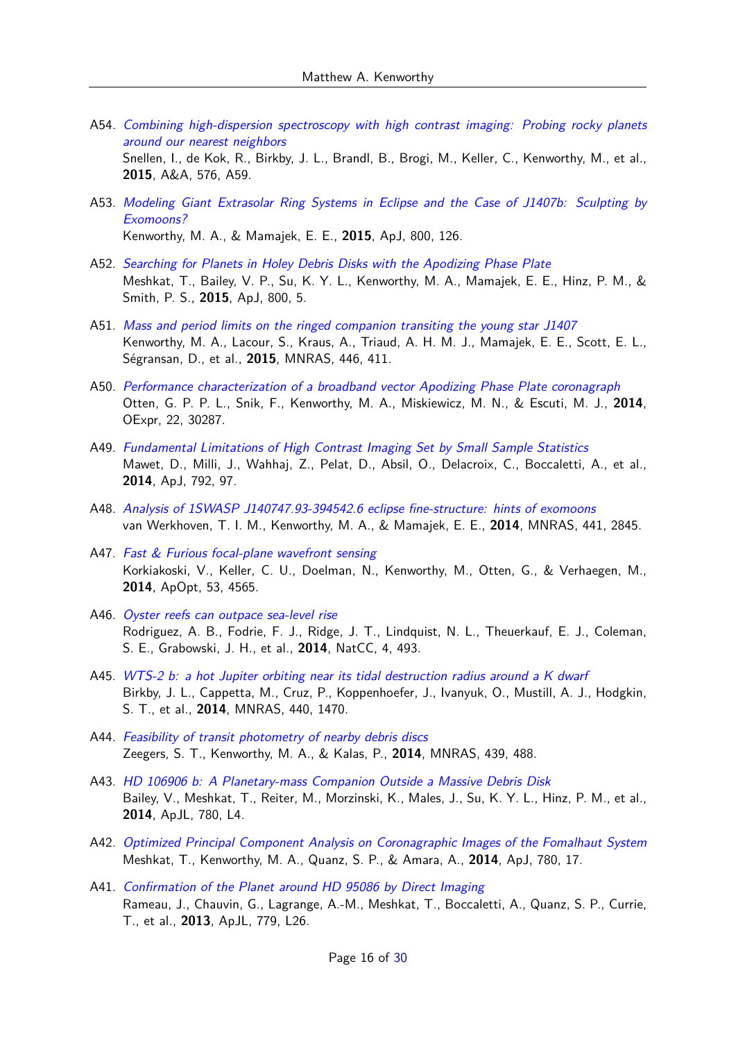A54. [Combining high-dispersion spectroscopy with high contrast imaging: Probing rocky planets](https://ui.adsabs.harvard.edu/abs/2015A&A...576A..59S) [around our nearest neighbors](https://ui.adsabs.harvard.edu/abs/2015A&A...576A..59S)

Snellen, I., de Kok, R., Birkby, J. L., Brandl, B., Brogi, M., Keller, C., Kenworthy, M., et al., **2015**, A&A, 576, A59.

A53. [Modeling Giant Extrasolar Ring Systems in Eclipse and the Case of J1407b: Sculpting by](https://ui.adsabs.harvard.edu/abs/2015ApJ...800..126K) [Exomoons?](https://ui.adsabs.harvard.edu/abs/2015ApJ...800..126K)

Kenworthy, M. A., & Mamajek, E. E., **2015**, ApJ, 800, 126.

- A52. [Searching for Planets in Holey Debris Disks with the Apodizing Phase Plate](https://ui.adsabs.harvard.edu/abs/2015ApJ...800....5M) Meshkat, T., Bailey, V. P., Su, K. Y. L., Kenworthy, M. A., Mamajek, E. E., Hinz, P. M., & Smith, P. S., **2015**, ApJ, 800, 5.
- A51. [Mass and period limits on the ringed companion transiting the young star J1407](https://ui.adsabs.harvard.edu/abs/2015MNRAS.446..411K) Kenworthy, M. A., Lacour, S., Kraus, A., Triaud, A. H. M. J., Mamajek, E. E., Scott, E. L., Ségransan, D., et al., **2015**, MNRAS, 446, 411.
- A50. [Performance characterization of a broadband vector Apodizing Phase Plate coronagraph](https://ui.adsabs.harvard.edu/abs/2014OExpr..2230287O) Otten, G. P. P. L., Snik, F., Kenworthy, M. A., Miskiewicz, M. N., & Escuti, M. J., **2014**, OExpr, 22, 30287.
- A49. [Fundamental Limitations of High Contrast Imaging Set by Small Sample Statistics](https://ui.adsabs.harvard.edu/abs/2014ApJ...792...97M) Mawet, D., Milli, J., Wahhaj, Z., Pelat, D., Absil, O., Delacroix, C., Boccaletti, A., et al., **2014**, ApJ, 792, 97.
- A48. [Analysis of 1SWASP J140747.93-394542.6 eclipse fine-structure: hints of exomoons](https://ui.adsabs.harvard.edu/abs/2014MNRAS.441.2845V) van Werkhoven, T. I. M., Kenworthy, M. A., & Mamajek, E. E., **2014**, MNRAS, 441, 2845.
- A47. [Fast & Furious focal-plane wavefront sensing](https://ui.adsabs.harvard.edu/abs/2014ApOpt..53.4565K) Korkiakoski, V., Keller, C. U., Doelman, N., Kenworthy, M., Otten, G., & Verhaegen, M., **2014**, ApOpt, 53, 4565.
- A46. [Oyster reefs can outpace sea-level rise](https://ui.adsabs.harvard.edu/abs/2014NatCC...4..493R) Rodriguez, A. B., Fodrie, F. J., Ridge, J. T., Lindquist, N. L., Theuerkauf, E. J., Coleman, S. E., Grabowski, J. H., et al., **2014**, NatCC, 4, 493.
- A45. [WTS-2 b: a hot Jupiter orbiting near its tidal destruction radius around a K dwarf](https://ui.adsabs.harvard.edu/abs/2014MNRAS.440.1470B) Birkby, J. L., Cappetta, M., Cruz, P., Koppenhoefer, J., Ivanyuk, O., Mustill, A. J., Hodgkin, S. T., et al., **2014**, MNRAS, 440, 1470.
- A44. [Feasibility of transit photometry of nearby debris discs](https://ui.adsabs.harvard.edu/abs/2014MNRAS.439..488Z) Zeegers, S. T., Kenworthy, M. A., & Kalas, P., **2014**, MNRAS, 439, 488.
- A43. [HD 106906 b: A Planetary-mass Companion Outside a Massive Debris Disk](https://ui.adsabs.harvard.edu/abs/2014ApJ...780L...4B) Bailey, V., Meshkat, T., Reiter, M., Morzinski, K., Males, J., Su, K. Y. L., Hinz, P. M., et al., **2014**, ApJL, 780, L4.
- A42. [Optimized Principal Component Analysis on Coronagraphic Images of the Fomalhaut System](https://ui.adsabs.harvard.edu/abs/2014ApJ...780...17M) Meshkat, T., Kenworthy, M. A., Quanz, S. P., & Amara, A., **2014**, ApJ, 780, 17.
- A41. [Confirmation of the Planet around HD 95086 by Direct Imaging](https://ui.adsabs.harvard.edu/abs/2013ApJ...779L..26R) Rameau, J., Chauvin, G., Lagrange, A.-M., Meshkat, T., Boccaletti, A., Quanz, S. P., Currie, T., et al., **2013**, ApJL, 779, L26.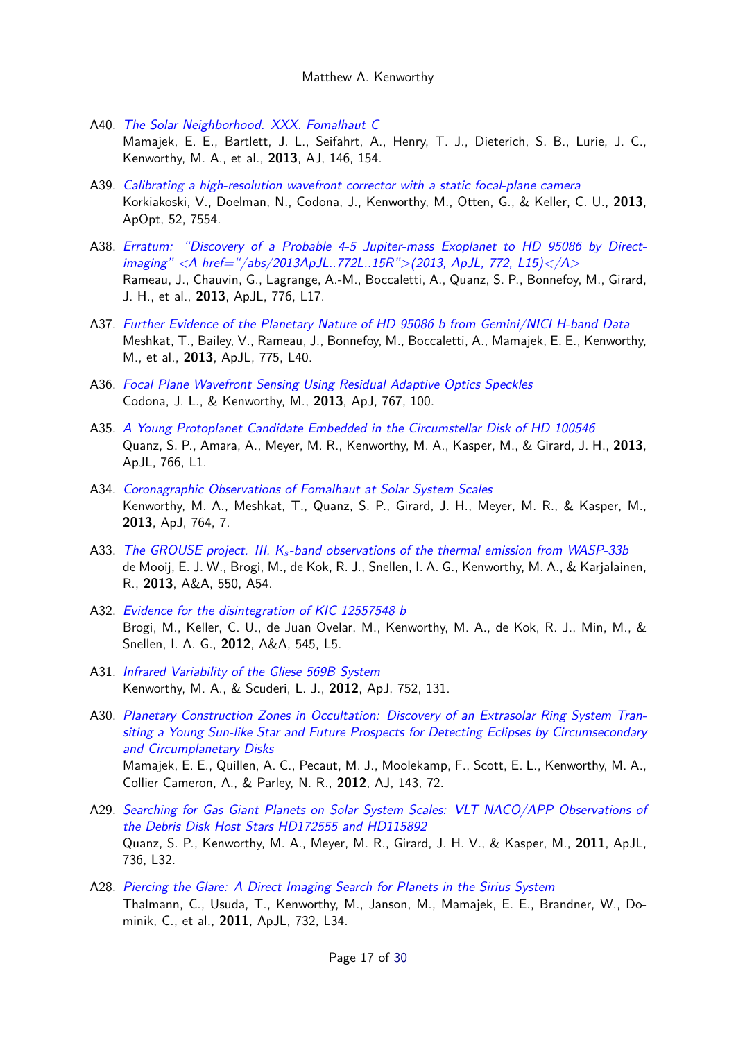- A40. [The Solar Neighborhood. XXX. Fomalhaut C](https://ui.adsabs.harvard.edu/abs/2013AJ....146..154M) Mamajek, E. E., Bartlett, J. L., Seifahrt, A., Henry, T. J., Dieterich, S. B., Lurie, J. C., Kenworthy, M. A., et al., **2013**, AJ, 146, 154.
- A39. [Calibrating a high-resolution wavefront corrector with a static focal-plane camera](https://ui.adsabs.harvard.edu/abs/2013ApOpt..52.7554K) Korkiakoski, V., Doelman, N., Codona, J., Kenworthy, M., Otten, G., & Keller, C. U., **2013**, ApOpt, 52, 7554.
- A38. [Erratum: "Discovery of a Probable 4-5 Jupiter-mass Exoplanet to HD 95086 by Direct](https://ui.adsabs.harvard.edu/abs/2013ApJ...776L..17R)[imaging" <A href="/abs/2013ApJL..772L..15R">\(2013, ApJL, 772, L15\)</A>](https://ui.adsabs.harvard.edu/abs/2013ApJ...776L..17R) Rameau, J., Chauvin, G., Lagrange, A.-M., Boccaletti, A., Quanz, S. P., Bonnefoy, M., Girard, J. H., et al., **2013**, ApJL, 776, L17.
- A37. [Further Evidence of the Planetary Nature of HD 95086 b from Gemini/NICI H-band Data](https://ui.adsabs.harvard.edu/abs/2013ApJ...775L..40M) Meshkat, T., Bailey, V., Rameau, J., Bonnefoy, M., Boccaletti, A., Mamajek, E. E., Kenworthy, M., et al., **2013**, ApJL, 775, L40.
- A36. [Focal Plane Wavefront Sensing Using Residual Adaptive Optics Speckles](https://ui.adsabs.harvard.edu/abs/2013ApJ...767..100C) Codona, J. L., & Kenworthy, M., **2013**, ApJ, 767, 100.
- A35. [A Young Protoplanet Candidate Embedded in the Circumstellar Disk of HD 100546](https://ui.adsabs.harvard.edu/abs/2013ApJ...766L...1Q) Quanz, S. P., Amara, A., Meyer, M. R., Kenworthy, M. A., Kasper, M., & Girard, J. H., **2013**, ApJL, 766, L1.
- A34. [Coronagraphic Observations of Fomalhaut at Solar System Scales](https://ui.adsabs.harvard.edu/abs/2013ApJ...764....7K) Kenworthy, M. A., Meshkat, T., Quanz, S. P., Girard, J. H., Meyer, M. R., & Kasper, M., **2013**, ApJ, 764, 7.
- A33. The GROUSE project. III. K*s*[-band observations of the thermal emission from WASP-33b](https://ui.adsabs.harvard.edu/abs/2013A&A...550A..54D) de Mooij, E. J. W., Brogi, M., de Kok, R. J., Snellen, I. A. G., Kenworthy, M. A., & Karjalainen, R., **2013**, A&A, 550, A54.
- A32. [Evidence for the disintegration of KIC 12557548 b](https://ui.adsabs.harvard.edu/abs/2012A&A...545L...5B) Brogi, M., Keller, C. U., de Juan Ovelar, M., Kenworthy, M. A., de Kok, R. J., Min, M., & Snellen, I. A. G., **2012**, A&A, 545, L5.
- A31. [Infrared Variability of the Gliese 569B System](https://ui.adsabs.harvard.edu/abs/2012ApJ...752..131K) Kenworthy, M. A., & Scuderi, L. J., **2012**, ApJ, 752, 131.
- A30. [Planetary Construction Zones in Occultation: Discovery of an Extrasolar Ring System Tran](https://ui.adsabs.harvard.edu/abs/2012AJ....143...72M)[siting a Young Sun-like Star and Future Prospects for Detecting Eclipses by Circumsecondary](https://ui.adsabs.harvard.edu/abs/2012AJ....143...72M) [and Circumplanetary Disks](https://ui.adsabs.harvard.edu/abs/2012AJ....143...72M) Mamajek, E. E., Quillen, A. C., Pecaut, M. J., Moolekamp, F., Scott, E. L., Kenworthy, M. A., Collier Cameron, A., & Parley, N. R., **2012**, AJ, 143, 72.
- A29. [Searching for Gas Giant Planets on Solar System Scales: VLT NACO/APP Observations of](https://ui.adsabs.harvard.edu/abs/2011ApJ...736L..32Q) [the Debris Disk Host Stars HD172555 and HD115892](https://ui.adsabs.harvard.edu/abs/2011ApJ...736L..32Q) Quanz, S. P., Kenworthy, M. A., Meyer, M. R., Girard, J. H. V., & Kasper, M., **2011**, ApJL, 736, L32.
- A28. [Piercing the Glare: A Direct Imaging Search for Planets in the Sirius System](https://ui.adsabs.harvard.edu/abs/2011ApJ...732L..34T) Thalmann, C., Usuda, T., Kenworthy, M., Janson, M., Mamajek, E. E., Brandner, W., Dominik, C., et al., **2011**, ApJL, 732, L34.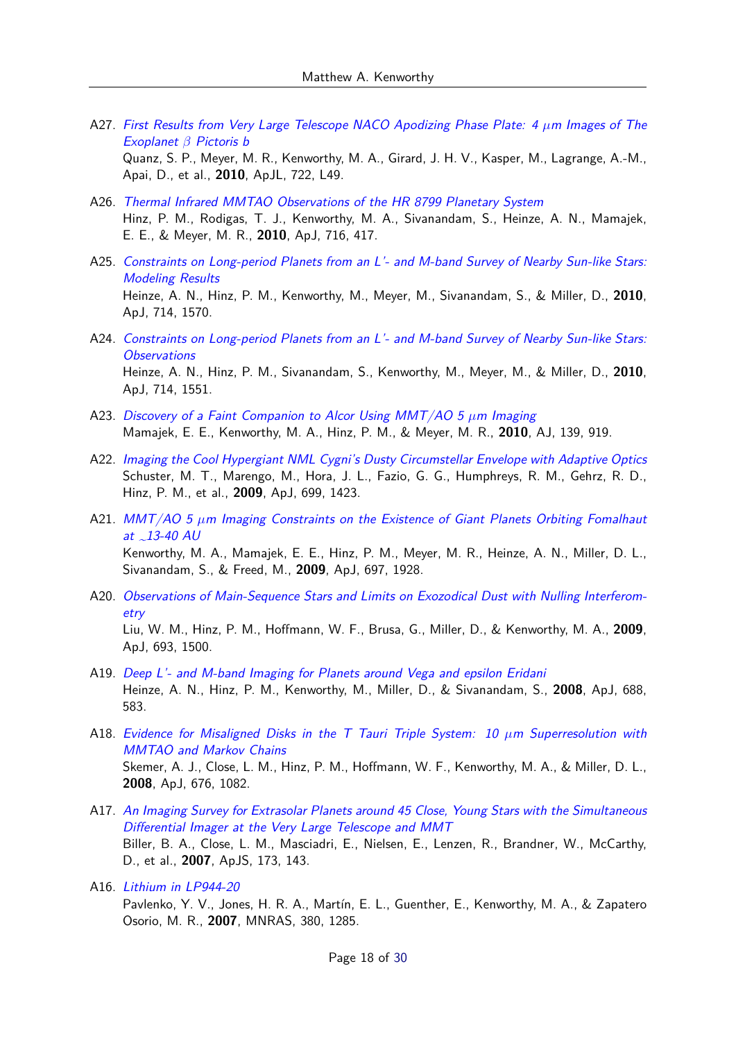- A27. [First Results from Very Large Telescope NACO Apodizing Phase Plate: 4](https://ui.adsabs.harvard.edu/abs/2010ApJ...722L..49Q) *µ*m Images of The [Exoplanet](https://ui.adsabs.harvard.edu/abs/2010ApJ...722L..49Q) *β* Pictoris b Quanz, S. P., Meyer, M. R., Kenworthy, M. A., Girard, J. H. V., Kasper, M., Lagrange, A.-M.,
- Apai, D., et al., **2010**, ApJL, 722, L49. A26. [Thermal Infrared MMTAO Observations of the HR 8799 Planetary System](https://ui.adsabs.harvard.edu/abs/2010ApJ...716..417H) Hinz, P. M., Rodigas, T. J., Kenworthy, M. A., Sivanandam, S., Heinze, A. N., Mamajek,

E. E., & Meyer, M. R., **2010**, ApJ, 716, 417.

- A25. [Constraints on Long-period Planets from an L'- and M-band Survey of Nearby Sun-like Stars:](https://ui.adsabs.harvard.edu/abs/2010ApJ...714.1570H) [Modeling Results](https://ui.adsabs.harvard.edu/abs/2010ApJ...714.1570H) Heinze, A. N., Hinz, P. M., Kenworthy, M., Meyer, M., Sivanandam, S., & Miller, D., **2010**, ApJ, 714, 1570.
- A24. [Constraints on Long-period Planets from an L'- and M-band Survey of Nearby Sun-like Stars:](https://ui.adsabs.harvard.edu/abs/2010ApJ...714.1551H) **[Observations](https://ui.adsabs.harvard.edu/abs/2010ApJ...714.1551H)** Heinze, A. N., Hinz, P. M., Sivanandam, S., Kenworthy, M., Meyer, M., & Miller, D., **2010**, ApJ, 714, 1551.
- A23. [Discovery of a Faint Companion to Alcor Using MMT/AO 5](https://ui.adsabs.harvard.edu/abs/2010AJ....139..919M) *µ*m Imaging Mamajek, E. E., Kenworthy, M. A., Hinz, P. M., & Meyer, M. R., **2010**, AJ, 139, 919.
- A22. [Imaging the Cool Hypergiant NML Cygni's Dusty Circumstellar Envelope with Adaptive Optics](https://ui.adsabs.harvard.edu/abs/2009ApJ...699.1423S) Schuster, M. T., Marengo, M., Hora, J. L., Fazio, G. G., Humphreys, R. M., Gehrz, R. D., Hinz, P. M., et al., **2009**, ApJ, 699, 1423.
- A21. MMT/AO 5 *µ*[m Imaging Constraints on the Existence of Giant Planets Orbiting Fomalhaut](https://ui.adsabs.harvard.edu/abs/2009ApJ...697.1928K) at  $\sim$ 13-40 AU Kenworthy, M. A., Mamajek, E. E., Hinz, P. M., Meyer, M. R., Heinze, A. N., Miller, D. L., Sivanandam, S., & Freed, M., **2009**, ApJ, 697, 1928.
- A20. [Observations of Main-Sequence Stars and Limits on Exozodical Dust with Nulling Interferom](https://ui.adsabs.harvard.edu/abs/2009ApJ...693.1500L)[etry](https://ui.adsabs.harvard.edu/abs/2009ApJ...693.1500L) Liu, W. M., Hinz, P. M., Hoffmann, W. F., Brusa, G., Miller, D., & Kenworthy, M. A., **2009**, ApJ, 693, 1500.
- A19. [Deep L'- and M-band Imaging for Planets around Vega and epsilon Eridani](https://ui.adsabs.harvard.edu/abs/2008ApJ...688..583H) Heinze, A. N., Hinz, P. M., Kenworthy, M., Miller, D., & Sivanandam, S., **2008**, ApJ, 688, 583.
- A18. [Evidence for Misaligned Disks in the T Tauri Triple System: 10](https://ui.adsabs.harvard.edu/abs/2008ApJ...676.1082S) *µ*m Superresolution with [MMTAO and Markov Chains](https://ui.adsabs.harvard.edu/abs/2008ApJ...676.1082S) Skemer, A. J., Close, L. M., Hinz, P. M., Hoffmann, W. F., Kenworthy, M. A., & Miller, D. L., **2008**, ApJ, 676, 1082.
- A17. [An Imaging Survey for Extrasolar Planets around 45 Close, Young Stars with the Simultaneous](https://ui.adsabs.harvard.edu/abs/2007ApJS..173..143B) [Differential Imager at the Very Large Telescope and MMT](https://ui.adsabs.harvard.edu/abs/2007ApJS..173..143B) Biller, B. A., Close, L. M., Masciadri, E., Nielsen, E., Lenzen, R., Brandner, W., McCarthy, D., et al., **2007**, ApJS, 173, 143.
- A16. [Lithium in LP944-20](https://ui.adsabs.harvard.edu/abs/2007MNRAS.380.1285P) Pavlenko, Y. V., Jones, H. R. A., Martín, E. L., Guenther, E., Kenworthy, M. A., & Zapatero Osorio, M. R., **2007**, MNRAS, 380, 1285.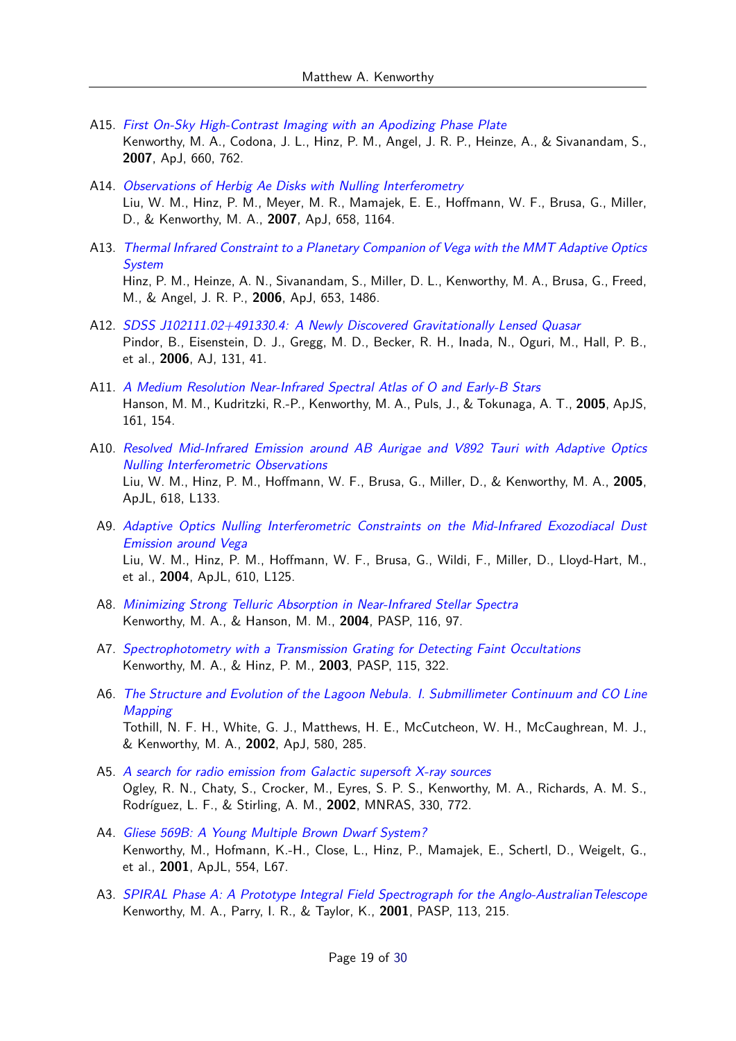- A15. [First On-Sky High-Contrast Imaging with an Apodizing Phase Plate](https://ui.adsabs.harvard.edu/abs/2007ApJ...660..762K) Kenworthy, M. A., Codona, J. L., Hinz, P. M., Angel, J. R. P., Heinze, A., & Sivanandam, S., **2007**, ApJ, 660, 762.
- A14. [Observations of Herbig Ae Disks with Nulling Interferometry](https://ui.adsabs.harvard.edu/abs/2007ApJ...658.1164L) Liu, W. M., Hinz, P. M., Meyer, M. R., Mamajek, E. E., Hoffmann, W. F., Brusa, G., Miller, D., & Kenworthy, M. A., **2007**, ApJ, 658, 1164.
- A13. [Thermal Infrared Constraint to a Planetary Companion of Vega with the MMT Adaptive Optics](https://ui.adsabs.harvard.edu/abs/2006ApJ...653.1486H) [System](https://ui.adsabs.harvard.edu/abs/2006ApJ...653.1486H) Hinz, P. M., Heinze, A. N., Sivanandam, S., Miller, D. L., Kenworthy, M. A., Brusa, G., Freed, M., & Angel, J. R. P., **2006**, ApJ, 653, 1486.
- A12. [SDSS J102111.02+491330.4: A Newly Discovered Gravitationally Lensed Quasar](https://ui.adsabs.harvard.edu/abs/2006AJ....131...41P) Pindor, B., Eisenstein, D. J., Gregg, M. D., Becker, R. H., Inada, N., Oguri, M., Hall, P. B., et al., **2006**, AJ, 131, 41.
- A11. [A Medium Resolution Near-Infrared Spectral Atlas of O and Early-B Stars](https://ui.adsabs.harvard.edu/abs/2005ApJS..161..154H) Hanson, M. M., Kudritzki, R.-P., Kenworthy, M. A., Puls, J., & Tokunaga, A. T., **2005**, ApJS, 161, 154.
- A10. [Resolved Mid-Infrared Emission around AB Aurigae and V892 Tauri with Adaptive Optics](https://ui.adsabs.harvard.edu/abs/2005ApJ...618L.133L) [Nulling Interferometric Observations](https://ui.adsabs.harvard.edu/abs/2005ApJ...618L.133L) Liu, W. M., Hinz, P. M., Hoffmann, W. F., Brusa, G., Miller, D., & Kenworthy, M. A., **2005**, ApJL, 618, L133.
- A9. [Adaptive Optics Nulling Interferometric Constraints on the Mid-Infrared Exozodiacal Dust](https://ui.adsabs.harvard.edu/abs/2004ApJ...610L.125L) [Emission around Vega](https://ui.adsabs.harvard.edu/abs/2004ApJ...610L.125L) Liu, W. M., Hinz, P. M., Hoffmann, W. F., Brusa, G., Wildi, F., Miller, D., Lloyd-Hart, M., et al., **2004**, ApJL, 610, L125.
- A8. [Minimizing Strong Telluric Absorption in Near-Infrared Stellar Spectra](https://ui.adsabs.harvard.edu/abs/2004PASP..116...97K) Kenworthy, M. A., & Hanson, M. M., **2004**, PASP, 116, 97.
- A7. [Spectrophotometry with a Transmission Grating for Detecting Faint Occultations](https://ui.adsabs.harvard.edu/abs/2003PASP..115..322K) Kenworthy, M. A., & Hinz, P. M., **2003**, PASP, 115, 322.
- A6. [The Structure and Evolution of the Lagoon Nebula. I. Submillimeter Continuum and CO Line](https://ui.adsabs.harvard.edu/abs/2002ApJ...580..285T) **[Mapping](https://ui.adsabs.harvard.edu/abs/2002ApJ...580..285T)** Tothill, N. F. H., White, G. J., Matthews, H. E., McCutcheon, W. H., McCaughrean, M. J., & Kenworthy, M. A., **2002**, ApJ, 580, 285.
- A5. [A search for radio emission from Galactic supersoft X-ray sources](https://ui.adsabs.harvard.edu/abs/2002MNRAS.330..772O) Ogley, R. N., Chaty, S., Crocker, M., Eyres, S. P. S., Kenworthy, M. A., Richards, A. M. S., Rodríguez, L. F., & Stirling, A. M., **2002**, MNRAS, 330, 772.
- A4. [Gliese 569B: A Young Multiple Brown Dwarf System?](https://ui.adsabs.harvard.edu/abs/2001ApJ...554L..67K) Kenworthy, M., Hofmann, K.-H., Close, L., Hinz, P., Mamajek, E., Schertl, D., Weigelt, G., et al., **2001**, ApJL, 554, L67.
- A3. [SPIRAL Phase A: A Prototype Integral Field Spectrograph for the Anglo-AustralianTelescope](https://ui.adsabs.harvard.edu/abs/2001PASP..113..215K) Kenworthy, M. A., Parry, I. R., & Taylor, K., **2001**, PASP, 113, 215.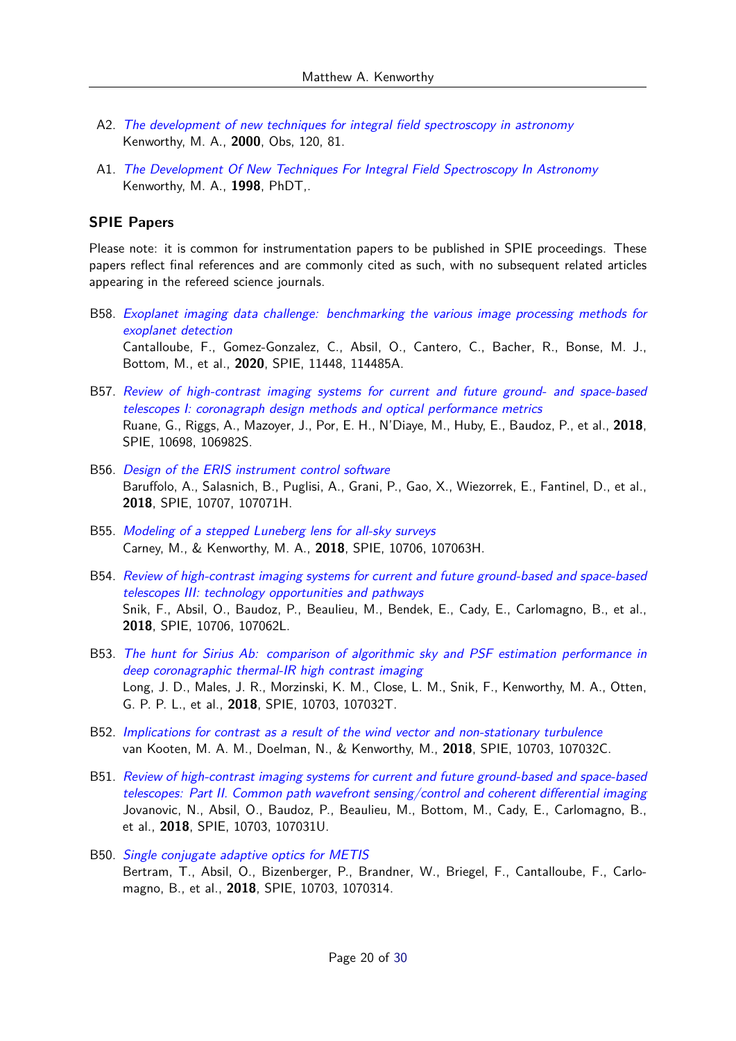- A2. [The development of new techniques for integral field spectroscopy in astronomy](https://ui.adsabs.harvard.edu/abs/2000Obs...120...81K) Kenworthy, M. A., **2000**, Obs, 120, 81.
- A1. [The Development Of New Techniques For Integral Field Spectroscopy In Astronomy](https://ui.adsabs.harvard.edu/abs/1998PhDT.......326K) Kenworthy, M. A., **1998**, PhDT,.

#### **SPIE Papers**

Please note: it is common for instrumentation papers to be published in SPIE proceedings. These papers reflect final references and are commonly cited as such, with no subsequent related articles appearing in the refereed science journals.

- B58. [Exoplanet imaging data challenge: benchmarking the various image processing methods for](https://ui.adsabs.harvard.edu/abs/2020SPIE11448E..5AC) [exoplanet detection](https://ui.adsabs.harvard.edu/abs/2020SPIE11448E..5AC) Cantalloube, F., Gomez-Gonzalez, C., Absil, O., Cantero, C., Bacher, R., Bonse, M. J., Bottom, M., et al., **2020**, SPIE, 11448, 114485A.
- B57. [Review of high-contrast imaging systems for current and future ground- and space-based](https://ui.adsabs.harvard.edu/abs/2018SPIE10698E..2SR) [telescopes I: coronagraph design methods and optical performance metrics](https://ui.adsabs.harvard.edu/abs/2018SPIE10698E..2SR) Ruane, G., Riggs, A., Mazoyer, J., Por, E. H., N'Diaye, M., Huby, E., Baudoz, P., et al., **2018**, SPIE, 10698, 106982S.
- B56. [Design of the ERIS instrument control software](https://ui.adsabs.harvard.edu/abs/2018SPIE10707E..1HB) Baruffolo, A., Salasnich, B., Puglisi, A., Grani, P., Gao, X., Wiezorrek, E., Fantinel, D., et al., **2018**, SPIE, 10707, 107071H.
- B55. [Modeling of a stepped Luneberg lens for all-sky surveys](https://ui.adsabs.harvard.edu/abs/2018SPIE10706E..3HC) Carney, M., & Kenworthy, M. A., **2018**, SPIE, 10706, 107063H.
- B54. [Review of high-contrast imaging systems for current and future ground-based and space-based](https://ui.adsabs.harvard.edu/abs/2018SPIE10706E..2LS) [telescopes III: technology opportunities and pathways](https://ui.adsabs.harvard.edu/abs/2018SPIE10706E..2LS) Snik, F., Absil, O., Baudoz, P., Beaulieu, M., Bendek, E., Cady, E., Carlomagno, B., et al., **2018**, SPIE, 10706, 107062L.
- B53. [The hunt for Sirius Ab: comparison of algorithmic sky and PSF estimation performance in](https://ui.adsabs.harvard.edu/abs/2018SPIE10703E..2TL) [deep coronagraphic thermal-IR high contrast imaging](https://ui.adsabs.harvard.edu/abs/2018SPIE10703E..2TL) Long, J. D., Males, J. R., Morzinski, K. M., Close, L. M., Snik, F., Kenworthy, M. A., Otten, G. P. P. L., et al., **2018**, SPIE, 10703, 107032T.
- B52. [Implications for contrast as a result of the wind vector and non-stationary turbulence](https://ui.adsabs.harvard.edu/abs/2018SPIE10703E..2CV) van Kooten, M. A. M., Doelman, N., & Kenworthy, M., **2018**, SPIE, 10703, 107032C.
- B51. [Review of high-contrast imaging systems for current and future ground-based and space-based](https://ui.adsabs.harvard.edu/abs/2018SPIE10703E..1UJ) [telescopes: Part II. Common path wavefront sensing/control and coherent differential imaging](https://ui.adsabs.harvard.edu/abs/2018SPIE10703E..1UJ) Jovanovic, N., Absil, O., Baudoz, P., Beaulieu, M., Bottom, M., Cady, E., Carlomagno, B., et al., **2018**, SPIE, 10703, 107031U.
- B50. [Single conjugate adaptive optics for METIS](https://ui.adsabs.harvard.edu/abs/2018SPIE10703E..14B) Bertram, T., Absil, O., Bizenberger, P., Brandner, W., Briegel, F., Cantalloube, F., Carlomagno, B., et al., **2018**, SPIE, 10703, 1070314.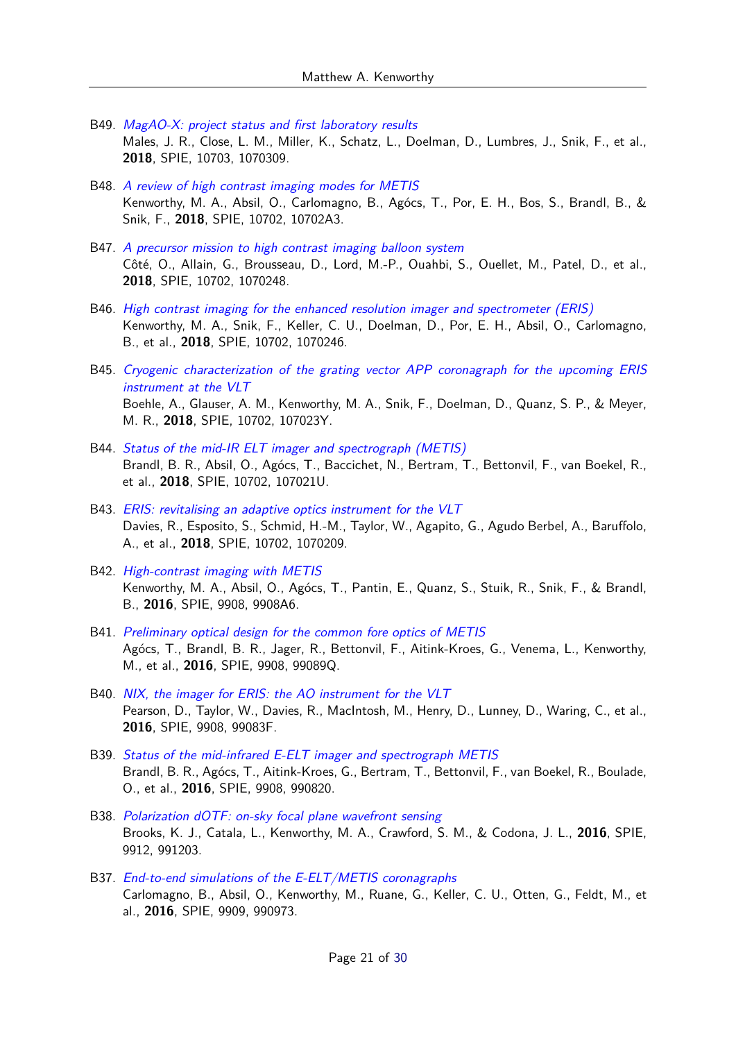- B49. [MagAO-X: project status and first laboratory results](https://ui.adsabs.harvard.edu/abs/2018SPIE10703E..09M) Males, J. R., Close, L. M., Miller, K., Schatz, L., Doelman, D., Lumbres, J., Snik, F., et al., **2018**, SPIE, 10703, 1070309.
- B48. [A review of high contrast imaging modes for METIS](https://ui.adsabs.harvard.edu/abs/2018SPIE10702E..A3K) Kenworthy, M. A., Absil, O., Carlomagno, B., Agócs, T., Por, E. H., Bos, S., Brandl, B., & Snik, F., **2018**, SPIE, 10702, 10702A3.
- B47. [A precursor mission to high contrast imaging balloon system](https://ui.adsabs.harvard.edu/abs/2018SPIE10702E..48C) Côté, O., Allain, G., Brousseau, D., Lord, M.-P., Ouahbi, S., Ouellet, M., Patel, D., et al., **2018**, SPIE, 10702, 1070248.
- B46. [High contrast imaging for the enhanced resolution imager and spectrometer \(ERIS\)](https://ui.adsabs.harvard.edu/abs/2018SPIE10702E..46K) Kenworthy, M. A., Snik, F., Keller, C. U., Doelman, D., Por, E. H., Absil, O., Carlomagno, B., et al., **2018**, SPIE, 10702, 1070246.
- B45. [Cryogenic characterization of the grating vector APP coronagraph for the upcoming ERIS](https://ui.adsabs.harvard.edu/abs/2018SPIE10702E..3YB) [instrument at the VLT](https://ui.adsabs.harvard.edu/abs/2018SPIE10702E..3YB) Boehle, A., Glauser, A. M., Kenworthy, M. A., Snik, F., Doelman, D., Quanz, S. P., & Meyer, M. R., **2018**, SPIE, 10702, 107023Y.
- B44. [Status of the mid-IR ELT imager and spectrograph \(METIS\)](https://ui.adsabs.harvard.edu/abs/2018SPIE10702E..1UB) Brandl, B. R., Absil, O., Agócs, T., Baccichet, N., Bertram, T., Bettonvil, F., van Boekel, R., et al., **2018**, SPIE, 10702, 107021U.
- B43. [ERIS: revitalising an adaptive optics instrument for the VLT](https://ui.adsabs.harvard.edu/abs/2018SPIE10702E..09D) Davies, R., Esposito, S., Schmid, H.-M., Taylor, W., Agapito, G., Agudo Berbel, A., Baruffolo, A., et al., **2018**, SPIE, 10702, 1070209.
- B42. [High-contrast imaging with METIS](https://ui.adsabs.harvard.edu/abs/2016SPIE.9908E..A6K) Kenworthy, M. A., Absil, O., Agócs, T., Pantin, E., Quanz, S., Stuik, R., Snik, F., & Brandl, B., **2016**, SPIE, 9908, 9908A6.
- B41. [Preliminary optical design for the common fore optics of METIS](https://ui.adsabs.harvard.edu/abs/2016SPIE.9908E..9QA) Agócs, T., Brandl, B. R., Jager, R., Bettonvil, F., Aitink-Kroes, G., Venema, L., Kenworthy, M., et al., **2016**, SPIE, 9908, 99089Q.
- B40. [NIX, the imager for ERIS: the AO instrument for the VLT](https://ui.adsabs.harvard.edu/abs/2016SPIE.9908E..3FP) Pearson, D., Taylor, W., Davies, R., MacIntosh, M., Henry, D., Lunney, D., Waring, C., et al., **2016**, SPIE, 9908, 99083F.
- B39. [Status of the mid-infrared E-ELT imager and spectrograph METIS](https://ui.adsabs.harvard.edu/abs/2016SPIE.9908E..20B) Brandl, B. R., Agócs, T., Aitink-Kroes, G., Bertram, T., Bettonvil, F., van Boekel, R., Boulade, O., et al., **2016**, SPIE, 9908, 990820.
- B38. [Polarization dOTF: on-sky focal plane wavefront sensing](https://ui.adsabs.harvard.edu/abs/2016SPIE.9912E..03B) Brooks, K. J., Catala, L., Kenworthy, M. A., Crawford, S. M., & Codona, J. L., **2016**, SPIE, 9912, 991203.
- B37. [End-to-end simulations of the E-ELT/METIS coronagraphs](https://ui.adsabs.harvard.edu/abs/2016SPIE.9909E..73C) Carlomagno, B., Absil, O., Kenworthy, M., Ruane, G., Keller, C. U., Otten, G., Feldt, M., et al., **2016**, SPIE, 9909, 990973.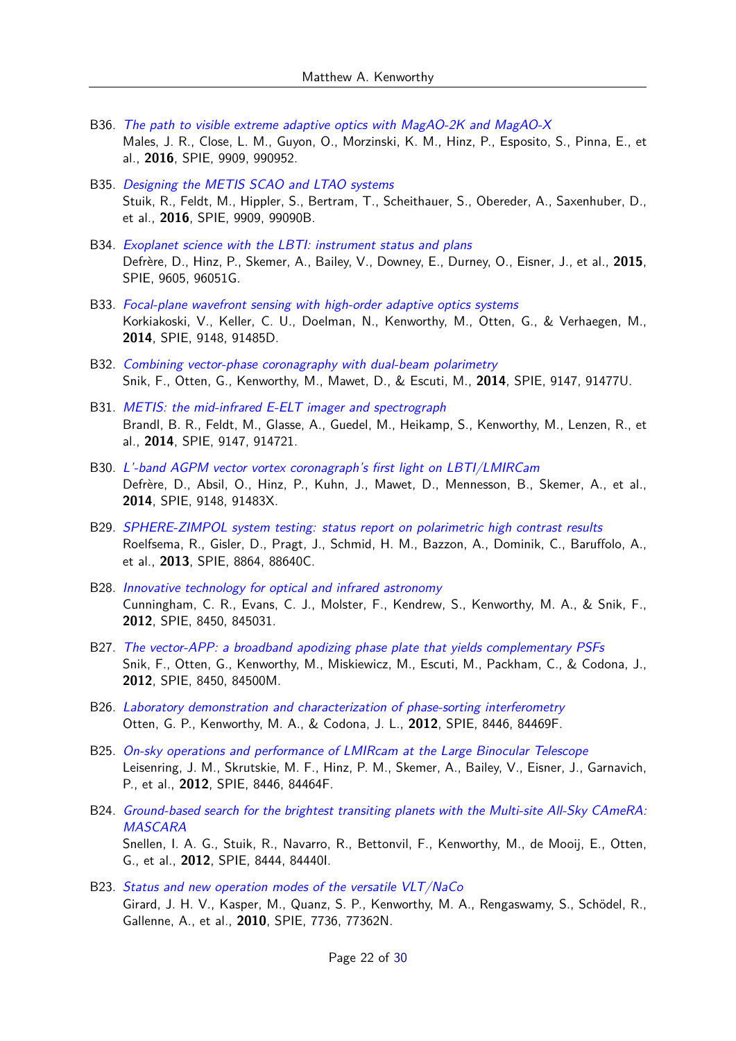- B36. [The path to visible extreme adaptive optics with MagAO-2K and MagAO-X](https://ui.adsabs.harvard.edu/abs/2016SPIE.9909E..52M) Males, J. R., Close, L. M., Guyon, O., Morzinski, K. M., Hinz, P., Esposito, S., Pinna, E., et al., **2016**, SPIE, 9909, 990952.
- B35. [Designing the METIS SCAO and LTAO systems](https://ui.adsabs.harvard.edu/abs/2016SPIE.9909E..0BS) Stuik, R., Feldt, M., Hippler, S., Bertram, T., Scheithauer, S., Obereder, A., Saxenhuber, D., et al., **2016**, SPIE, 9909, 99090B.
- B34. [Exoplanet science with the LBTI: instrument status and plans](https://ui.adsabs.harvard.edu/abs/2015SPIE.9605E..1GD) Defrère, D., Hinz, P., Skemer, A., Bailey, V., Downey, E., Durney, O., Eisner, J., et al., **2015**, SPIE, 9605, 96051G.
- B33. [Focal-plane wavefront sensing with high-order adaptive optics systems](https://ui.adsabs.harvard.edu/abs/2014SPIE.9148E..5DK) Korkiakoski, V., Keller, C. U., Doelman, N., Kenworthy, M., Otten, G., & Verhaegen, M., **2014**, SPIE, 9148, 91485D.
- B32. [Combining vector-phase coronagraphy with dual-beam polarimetry](https://ui.adsabs.harvard.edu/abs/2014SPIE.9147E..7US) Snik, F., Otten, G., Kenworthy, M., Mawet, D., & Escuti, M., **2014**, SPIE, 9147, 91477U.
- B31. [METIS: the mid-infrared E-ELT imager and spectrograph](https://ui.adsabs.harvard.edu/abs/2014SPIE.9147E..21B) Brandl, B. R., Feldt, M., Glasse, A., Guedel, M., Heikamp, S., Kenworthy, M., Lenzen, R., et al., **2014**, SPIE, 9147, 914721.
- B30. [L'-band AGPM vector vortex coronagraph's first light on LBTI/LMIRCam](https://ui.adsabs.harvard.edu/abs/2014SPIE.9148E..3XD) Defrère, D., Absil, O., Hinz, P., Kuhn, J., Mawet, D., Mennesson, B., Skemer, A., et al., **2014**, SPIE, 9148, 91483X.
- B29. [SPHERE-ZIMPOL system testing: status report on polarimetric high contrast results](https://ui.adsabs.harvard.edu/abs/2013SPIE.8864E..0CR) Roelfsema, R., Gisler, D., Pragt, J., Schmid, H. M., Bazzon, A., Dominik, C., Baruffolo, A., et al., **2013**, SPIE, 8864, 88640C.
- B28. [Innovative technology for optical and infrared astronomy](https://ui.adsabs.harvard.edu/abs/2012SPIE.8450E..31C) Cunningham, C. R., Evans, C. J., Molster, F., Kendrew, S., Kenworthy, M. A., & Snik, F., **2012**, SPIE, 8450, 845031.
- B27. [The vector-APP: a broadband apodizing phase plate that yields complementary PSFs](https://ui.adsabs.harvard.edu/abs/2012SPIE.8450E..0MS) Snik, F., Otten, G., Kenworthy, M., Miskiewicz, M., Escuti, M., Packham, C., & Codona, J., **2012**, SPIE, 8450, 84500M.
- B26. [Laboratory demonstration and characterization of phase-sorting interferometry](https://ui.adsabs.harvard.edu/abs/2012SPIE.8446E..9FO) Otten, G. P., Kenworthy, M. A., & Codona, J. L., **2012**, SPIE, 8446, 84469F.
- B25. [On-sky operations and performance of LMIRcam at the Large Binocular Telescope](https://ui.adsabs.harvard.edu/abs/2012SPIE.8446E..4FL) Leisenring, J. M., Skrutskie, M. F., Hinz, P. M., Skemer, A., Bailey, V., Eisner, J., Garnavich, P., et al., **2012**, SPIE, 8446, 84464F.
- B24. [Ground-based search for the brightest transiting planets with the Multi-site All-Sky CAmeRA:](https://ui.adsabs.harvard.edu/abs/2012SPIE.8444E..0IS) [MASCARA](https://ui.adsabs.harvard.edu/abs/2012SPIE.8444E..0IS) Snellen, I. A. G., Stuik, R., Navarro, R., Bettonvil, F., Kenworthy, M., de Mooij, E., Otten, G., et al., **2012**, SPIE, 8444, 84440I.
- B23. [Status and new operation modes of the versatile VLT/NaCo](https://ui.adsabs.harvard.edu/abs/2010SPIE.7736E..2NG) Girard, J. H. V., Kasper, M., Quanz, S. P., Kenworthy, M. A., Rengaswamy, S., Schödel, R., Gallenne, A., et al., **2010**, SPIE, 7736, 77362N.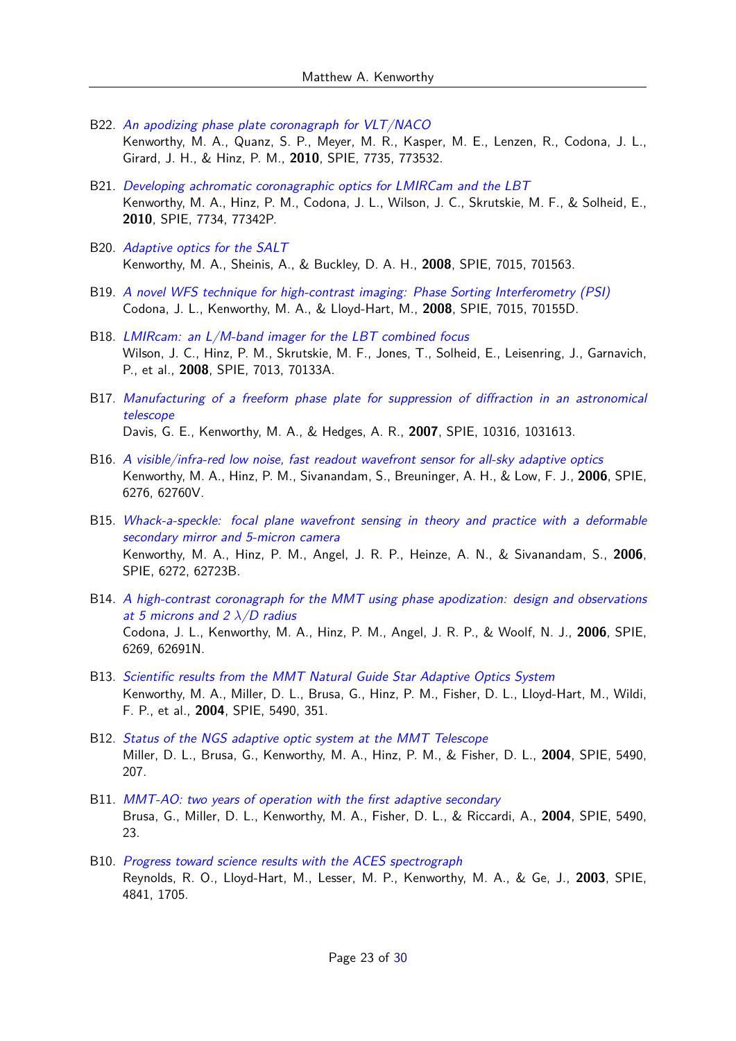- B22. [An apodizing phase plate coronagraph for VLT/NACO](https://ui.adsabs.harvard.edu/abs/2010SPIE.7735E..32K) Kenworthy, M. A., Quanz, S. P., Meyer, M. R., Kasper, M. E., Lenzen, R., Codona, J. L., Girard, J. H., & Hinz, P. M., **2010**, SPIE, 7735, 773532.
- B21. [Developing achromatic coronagraphic optics for LMIRCam and the LBT](https://ui.adsabs.harvard.edu/abs/2010SPIE.7734E..2PK) Kenworthy, M. A., Hinz, P. M., Codona, J. L., Wilson, J. C., Skrutskie, M. F., & Solheid, E., **2010**, SPIE, 7734, 77342P.
- B20. [Adaptive optics for the SALT](https://ui.adsabs.harvard.edu/abs/2008SPIE.7015E..63K) Kenworthy, M. A., Sheinis, A., & Buckley, D. A. H., **2008**, SPIE, 7015, 701563.
- B19. [A novel WFS technique for high-contrast imaging: Phase Sorting Interferometry \(PSI\)](https://ui.adsabs.harvard.edu/abs/2008SPIE.7015E..5DC) Codona, J. L., Kenworthy, M. A., & Lloyd-Hart, M., **2008**, SPIE, 7015, 70155D.
- B18. [LMIRcam: an L/M-band imager for the LBT combined focus](https://ui.adsabs.harvard.edu/abs/2008SPIE.7013E..3AW) Wilson, J. C., Hinz, P. M., Skrutskie, M. F., Jones, T., Solheid, E., Leisenring, J., Garnavich, P., et al., **2008**, SPIE, 7013, 70133A.
- B17. [Manufacturing of a freeform phase plate for suppression of diffraction in an astronomical](https://ui.adsabs.harvard.edu/abs/2007SPIE10316E..13D) [telescope](https://ui.adsabs.harvard.edu/abs/2007SPIE10316E..13D) Davis, G. E., Kenworthy, M. A., & Hedges, A. R., **2007**, SPIE, 10316, 1031613.
- B16. [A visible/infra-red low noise, fast readout wavefront sensor for all-sky adaptive optics](https://ui.adsabs.harvard.edu/abs/2006SPIE.6276E..0VK) Kenworthy, M. A., Hinz, P. M., Sivanandam, S., Breuninger, A. H., & Low, F. J., **2006**, SPIE, 6276, 62760V.
- B15. [Whack-a-speckle: focal plane wavefront sensing in theory and practice with a deformable](https://ui.adsabs.harvard.edu/abs/2006SPIE.6272E..3BK) [secondary mirror and 5-micron camera](https://ui.adsabs.harvard.edu/abs/2006SPIE.6272E..3BK) Kenworthy, M. A., Hinz, P. M., Angel, J. R. P., Heinze, A. N., & Sivanandam, S., **2006**, SPIE, 6272, 62723B.
- B14. [A high-contrast coronagraph for the MMT using phase apodization: design and observations](https://ui.adsabs.harvard.edu/abs/2006SPIE.6269E..1NC) [at 5 microns and 2](https://ui.adsabs.harvard.edu/abs/2006SPIE.6269E..1NC) *λ*/D radius Codona, J. L., Kenworthy, M. A., Hinz, P. M., Angel, J. R. P., & Woolf, N. J., **2006**, SPIE, 6269, 62691N.
- B13. [Scientific results from the MMT Natural Guide Star Adaptive Optics System](https://ui.adsabs.harvard.edu/abs/2004SPIE.5490..351K) Kenworthy, M. A., Miller, D. L., Brusa, G., Hinz, P. M., Fisher, D. L., Lloyd-Hart, M., Wildi, F. P., et al., **2004**, SPIE, 5490, 351.
- B12. [Status of the NGS adaptive optic system at the MMT Telescope](https://ui.adsabs.harvard.edu/abs/2004SPIE.5490..207M) Miller, D. L., Brusa, G., Kenworthy, M. A., Hinz, P. M., & Fisher, D. L., **2004**, SPIE, 5490, 207.
- B11. [MMT-AO: two years of operation with the first adaptive secondary](https://ui.adsabs.harvard.edu/abs/2004SPIE.5490...23B) Brusa, G., Miller, D. L., Kenworthy, M. A., Fisher, D. L., & Riccardi, A., **2004**, SPIE, 5490, 23.
- B10. [Progress toward science results with the ACES spectrograph](https://ui.adsabs.harvard.edu/abs/2003SPIE.4841.1705R) Reynolds, R. O., Lloyd-Hart, M., Lesser, M. P., Kenworthy, M. A., & Ge, J., **2003**, SPIE, 4841, 1705.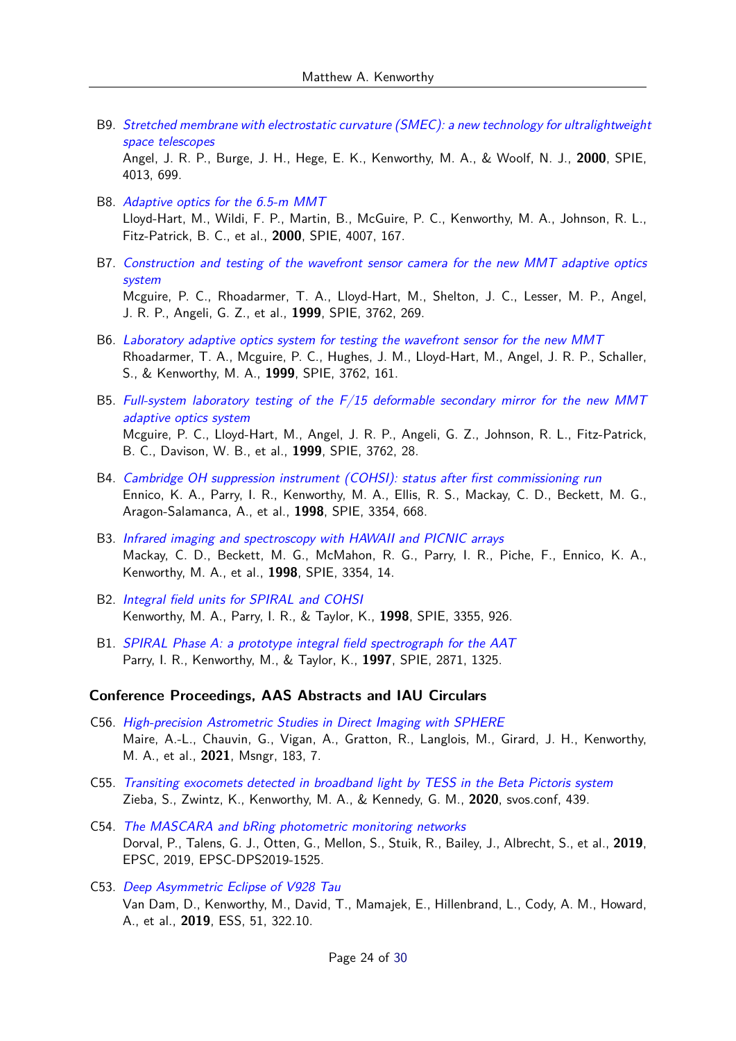B9. [Stretched membrane with electrostatic curvature \(SMEC\): a new technology for ultralightweight](https://ui.adsabs.harvard.edu/abs/2000SPIE.4013..699A) [space telescopes](https://ui.adsabs.harvard.edu/abs/2000SPIE.4013..699A)

Angel, J. R. P., Burge, J. H., Hege, E. K., Kenworthy, M. A., & Woolf, N. J., **2000**, SPIE, 4013, 699.

- B8. [Adaptive optics for the 6.5-m MMT](https://ui.adsabs.harvard.edu/abs/2000SPIE.4007..167L) Lloyd-Hart, M., Wildi, F. P., Martin, B., McGuire, P. C., Kenworthy, M. A., Johnson, R. L., Fitz-Patrick, B. C., et al., **2000**, SPIE, 4007, 167.
- B7. [Construction and testing of the wavefront sensor camera for the new MMT adaptive optics](https://ui.adsabs.harvard.edu/abs/1999SPIE.3762..269M) [system](https://ui.adsabs.harvard.edu/abs/1999SPIE.3762..269M) Mcguire, P. C., Rhoadarmer, T. A., Lloyd-Hart, M., Shelton, J. C., Lesser, M. P., Angel, J. R. P., Angeli, G. Z., et al., **1999**, SPIE, 3762, 269.
- B6. [Laboratory adaptive optics system for testing the wavefront sensor for the new MMT](https://ui.adsabs.harvard.edu/abs/1999SPIE.3762..161R) Rhoadarmer, T. A., Mcguire, P. C., Hughes, J. M., Lloyd-Hart, M., Angel, J. R. P., Schaller, S., & Kenworthy, M. A., **1999**, SPIE, 3762, 161.
- B5. [Full-system laboratory testing of the F/15 deformable secondary mirror for the new MMT](https://ui.adsabs.harvard.edu/abs/1999SPIE.3762...28M) [adaptive optics system](https://ui.adsabs.harvard.edu/abs/1999SPIE.3762...28M) Mcguire, P. C., Lloyd-Hart, M., Angel, J. R. P., Angeli, G. Z., Johnson, R. L., Fitz-Patrick, B. C., Davison, W. B., et al., **1999**, SPIE, 3762, 28.
- B4. [Cambridge OH suppression instrument \(COHSI\): status after first commissioning run](https://ui.adsabs.harvard.edu/abs/1998SPIE.3354..668E) Ennico, K. A., Parry, I. R., Kenworthy, M. A., Ellis, R. S., Mackay, C. D., Beckett, M. G., Aragon-Salamanca, A., et al., **1998**, SPIE, 3354, 668.
- B3. [Infrared imaging and spectroscopy with HAWAII and PICNIC arrays](https://ui.adsabs.harvard.edu/abs/1998SPIE.3354...14M) Mackay, C. D., Beckett, M. G., McMahon, R. G., Parry, I. R., Piche, F., Ennico, K. A., Kenworthy, M. A., et al., **1998**, SPIE, 3354, 14.
- B2. [Integral field units for SPIRAL and COHSI](https://ui.adsabs.harvard.edu/abs/1998SPIE.3355..926K) Kenworthy, M. A., Parry, I. R., & Taylor, K., **1998**, SPIE, 3355, 926.
- B1. [SPIRAL Phase A: a prototype integral field spectrograph for the AAT](https://ui.adsabs.harvard.edu/abs/1997SPIE.2871.1325P) Parry, I. R., Kenworthy, M., & Taylor, K., **1997**, SPIE, 2871, 1325.

#### **Conference Proceedings, AAS Abstracts and IAU Circulars**

- C56. [High-precision Astrometric Studies in Direct Imaging with SPHERE](https://ui.adsabs.harvard.edu/abs/2021Msngr.183....7M) Maire, A.-L., Chauvin, G., Vigan, A., Gratton, R., Langlois, M., Girard, J. H., Kenworthy, M. A., et al., **2021**, Msngr, 183, 7.
- C55. [Transiting exocomets detected in broadband light by TESS in the Beta Pictoris system](https://ui.adsabs.harvard.edu/abs/2020svos.conf..439Z) Zieba, S., Zwintz, K., Kenworthy, M. A., & Kennedy, G. M., **2020**, svos.conf, 439.
- C54. [The MASCARA and bRing photometric monitoring networks](https://ui.adsabs.harvard.edu/abs/2019EPSC...13.1525D) Dorval, P., Talens, G. J., Otten, G., Mellon, S., Stuik, R., Bailey, J., Albrecht, S., et al., **2019**, EPSC, 2019, EPSC-DPS2019-1525.
- C53. [Deep Asymmetric Eclipse of V928 Tau](https://ui.adsabs.harvard.edu/abs/2019ESS.....432210V) Van Dam, D., Kenworthy, M., David, T., Mamajek, E., Hillenbrand, L., Cody, A. M., Howard, A., et al., **2019**, ESS, 51, 322.10.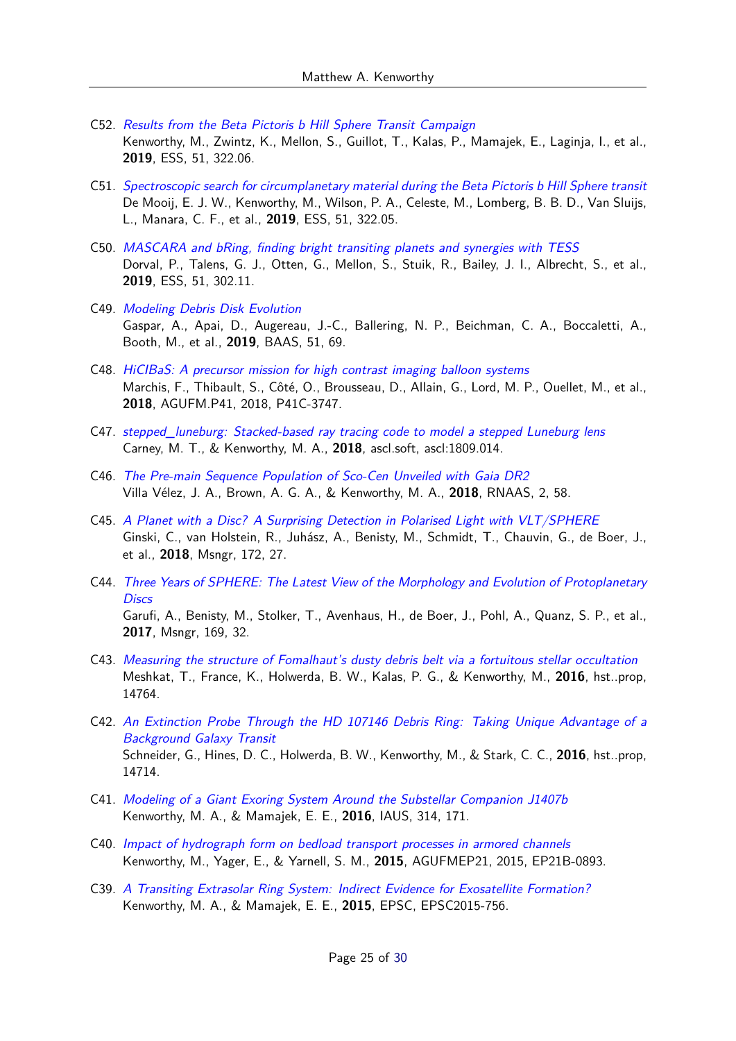- C52. [Results from the Beta Pictoris b Hill Sphere Transit Campaign](https://ui.adsabs.harvard.edu/abs/2019ESS.....432206K) Kenworthy, M., Zwintz, K., Mellon, S., Guillot, T., Kalas, P., Mamajek, E., Laginja, I., et al., **2019**, ESS, 51, 322.06.
- C51. [Spectroscopic search for circumplanetary material during the Beta Pictoris b Hill Sphere transit](https://ui.adsabs.harvard.edu/abs/2019ESS.....432205D) De Mooij, E. J. W., Kenworthy, M., Wilson, P. A., Celeste, M., Lomberg, B. B. D., Van Sluijs, L., Manara, C. F., et al., **2019**, ESS, 51, 322.05.
- C50. [MASCARA and bRing, finding bright transiting planets and synergies with TESS](https://ui.adsabs.harvard.edu/abs/2019ESS.....430211D) Dorval, P., Talens, G. J., Otten, G., Mellon, S., Stuik, R., Bailey, J. I., Albrecht, S., et al., **2019**, ESS, 51, 302.11.
- C49. [Modeling Debris Disk Evolution](https://ui.adsabs.harvard.edu/abs/2019BAAS...51c..69G) Gaspar, A., Apai, D., Augereau, J.-C., Ballering, N. P., Beichman, C. A., Boccaletti, A., Booth, M., et al., **2019**, BAAS, 51, 69.
- C48. [HiCIBaS: A precursor mission for high contrast imaging balloon systems](https://ui.adsabs.harvard.edu/abs/2018AGUFM.P41C3747M) Marchis, F., Thibault, S., Côté, O., Brousseau, D., Allain, G., Lord, M. P., Ouellet, M., et al., **2018**, AGUFM.P41, 2018, P41C-3747.
- C47. stepped luneburg: Stacked-based ray tracing code to model a stepped Luneburg lens Carney, M. T., & Kenworthy, M. A., **2018**, ascl.soft, ascl:1809.014.
- C46. [The Pre-main Sequence Population of Sco-Cen Unveiled with Gaia DR2](https://ui.adsabs.harvard.edu/abs/2018RNAAS...2...58V) Villa Vélez, J. A., Brown, A. G. A., & Kenworthy, M. A., **2018**, RNAAS, 2, 58.
- C45. [A Planet with a Disc? A Surprising Detection in Polarised Light with VLT/SPHERE](https://ui.adsabs.harvard.edu/abs/2018Msngr.172...27G) Ginski, C., van Holstein, R., Juhász, A., Benisty, M., Schmidt, T., Chauvin, G., de Boer, J., et al., **2018**, Msngr, 172, 27.
- C44. [Three Years of SPHERE: The Latest View of the Morphology and Evolution of Protoplanetary](https://ui.adsabs.harvard.edu/abs/2017Msngr.169...32G) **[Discs](https://ui.adsabs.harvard.edu/abs/2017Msngr.169...32G)** Garufi, A., Benisty, M., Stolker, T., Avenhaus, H., de Boer, J., Pohl, A., Quanz, S. P., et al., **2017**, Msngr, 169, 32.
- C43. [Measuring the structure of Fomalhaut's dusty debris belt via a fortuitous stellar occultation](https://ui.adsabs.harvard.edu/abs/2016hst..prop14764M) Meshkat, T., France, K., Holwerda, B. W., Kalas, P. G., & Kenworthy, M., **2016**, hst..prop, 14764.
- C42. [An Extinction Probe Through the HD 107146 Debris Ring: Taking Unique Advantage of a](https://ui.adsabs.harvard.edu/abs/2016hst..prop14714S) [Background Galaxy Transit](https://ui.adsabs.harvard.edu/abs/2016hst..prop14714S) Schneider, G., Hines, D. C., Holwerda, B. W., Kenworthy, M., & Stark, C. C., **2016**, hst..prop, 14714.
- C41. [Modeling of a Giant Exoring System Around the Substellar Companion J1407b](https://ui.adsabs.harvard.edu/abs/2016IAUS..314..171K) Kenworthy, M. A., & Mamajek, E. E., **2016**, IAUS, 314, 171.
- C40. [Impact of hydrograph form on bedload transport processes in armored channels](https://ui.adsabs.harvard.edu/abs/2015AGUFMEP21B0893K) Kenworthy, M., Yager, E., & Yarnell, S. M., **2015**, AGUFMEP21, 2015, EP21B-0893.
- C39. [A Transiting Extrasolar Ring System: Indirect Evidence for Exosatellite Formation?](https://ui.adsabs.harvard.edu/abs/2015EPSC...10..756K) Kenworthy, M. A., & Mamajek, E. E., **2015**, EPSC, EPSC2015-756.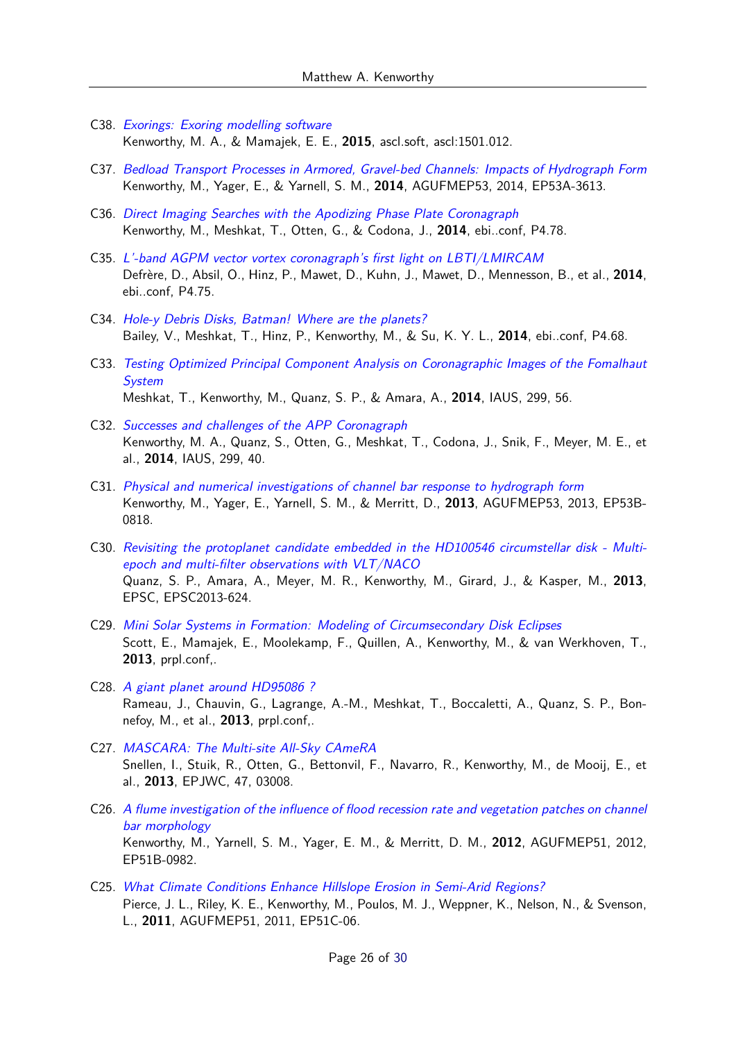- C38. [Exorings: Exoring modelling software](https://ui.adsabs.harvard.edu/abs/2015ascl.soft01012K) Kenworthy, M. A., & Mamajek, E. E., **2015**, ascl.soft, ascl:1501.012.
- C37. [Bedload Transport Processes in Armored, Gravel-bed Channels: Impacts of Hydrograph Form](https://ui.adsabs.harvard.edu/abs/2014AGUFMEP53A3613K) Kenworthy, M., Yager, E., & Yarnell, S. M., **2014**, AGUFMEP53, 2014, EP53A-3613.
- C36. [Direct Imaging Searches with the Apodizing Phase Plate Coronagraph](https://ui.adsabs.harvard.edu/abs/2014ebi..confP4.78K) Kenworthy, M., Meshkat, T., Otten, G., & Codona, J., **2014**, ebi..conf, P4.78.
- C35. [L'-band AGPM vector vortex coronagraph's first light on LBTI/LMIRCAM](https://ui.adsabs.harvard.edu/abs/2014ebi..confP4.75D) Defrère, D., Absil, O., Hinz, P., Mawet, D., Kuhn, J., Mawet, D., Mennesson, B., et al., **2014**, ebi..conf, P4.75.
- C34. [Hole-y Debris Disks, Batman! Where are the planets?](https://ui.adsabs.harvard.edu/abs/2014ebi..confP4.68B) Bailey, V., Meshkat, T., Hinz, P., Kenworthy, M., & Su, K. Y. L., **2014**, ebi..conf, P4.68.
- C33. [Testing Optimized Principal Component Analysis on Coronagraphic Images of the Fomalhaut](https://ui.adsabs.harvard.edu/abs/2014IAUS..299...56M) **[System](https://ui.adsabs.harvard.edu/abs/2014IAUS..299...56M)** Meshkat, T., Kenworthy, M., Quanz, S. P., & Amara, A., **2014**, IAUS, 299, 56.
- C32. [Successes and challenges of the APP Coronagraph](https://ui.adsabs.harvard.edu/abs/2014IAUS..299...40K) Kenworthy, M. A., Quanz, S., Otten, G., Meshkat, T., Codona, J., Snik, F., Meyer, M. E., et al., **2014**, IAUS, 299, 40.
- C31. [Physical and numerical investigations of channel bar response to hydrograph form](https://ui.adsabs.harvard.edu/abs/2013AGUFMEP53B0818K) Kenworthy, M., Yager, E., Yarnell, S. M., & Merritt, D., **2013**, AGUFMEP53, 2013, EP53B-0818.
- C30. [Revisiting the protoplanet candidate embedded in the HD100546 circumstellar disk Multi](https://ui.adsabs.harvard.edu/abs/2013EPSC....8..624Q)[epoch and multi-filter observations with VLT/NACO](https://ui.adsabs.harvard.edu/abs/2013EPSC....8..624Q) Quanz, S. P., Amara, A., Meyer, M. R., Kenworthy, M., Girard, J., & Kasper, M., **2013**, EPSC, EPSC2013-624.
- C29. [Mini Solar Systems in Formation: Modeling of Circumsecondary Disk Eclipses](https://ui.adsabs.harvard.edu/abs/2013prpl.conf2K035S) Scott, E., Mamajek, E., Moolekamp, F., Quillen, A., Kenworthy, M., & van Werkhoven, T., **2013**, prpl.conf,.
- C28. [A giant planet around HD95086 ?](https://ui.adsabs.harvard.edu/abs/2013prpl.conf2K013R) Rameau, J., Chauvin, G., Lagrange, A.-M., Meshkat, T., Boccaletti, A., Quanz, S. P., Bonnefoy, M., et al., **2013**, prpl.conf,.
- C27. [MASCARA: The Multi-site All-Sky CAmeRA](https://ui.adsabs.harvard.edu/abs/2013EPJWC..4703008S) Snellen, I., Stuik, R., Otten, G., Bettonvil, F., Navarro, R., Kenworthy, M., de Mooij, E., et al., **2013**, EPJWC, 47, 03008.
- C26. [A flume investigation of the influence of flood recession rate and vegetation patches on channel](https://ui.adsabs.harvard.edu/abs/2012AGUFMEP51B0982K) [bar morphology](https://ui.adsabs.harvard.edu/abs/2012AGUFMEP51B0982K) Kenworthy, M., Yarnell, S. M., Yager, E. M., & Merritt, D. M., **2012**, AGUFMEP51, 2012, EP51B-0982.
- C25. [What Climate Conditions Enhance Hillslope Erosion in Semi-Arid Regions?](https://ui.adsabs.harvard.edu/abs/2011AGUFMEP51C..06P) Pierce, J. L., Riley, K. E., Kenworthy, M., Poulos, M. J., Weppner, K., Nelson, N., & Svenson, L., **2011**, AGUFMEP51, 2011, EP51C-06.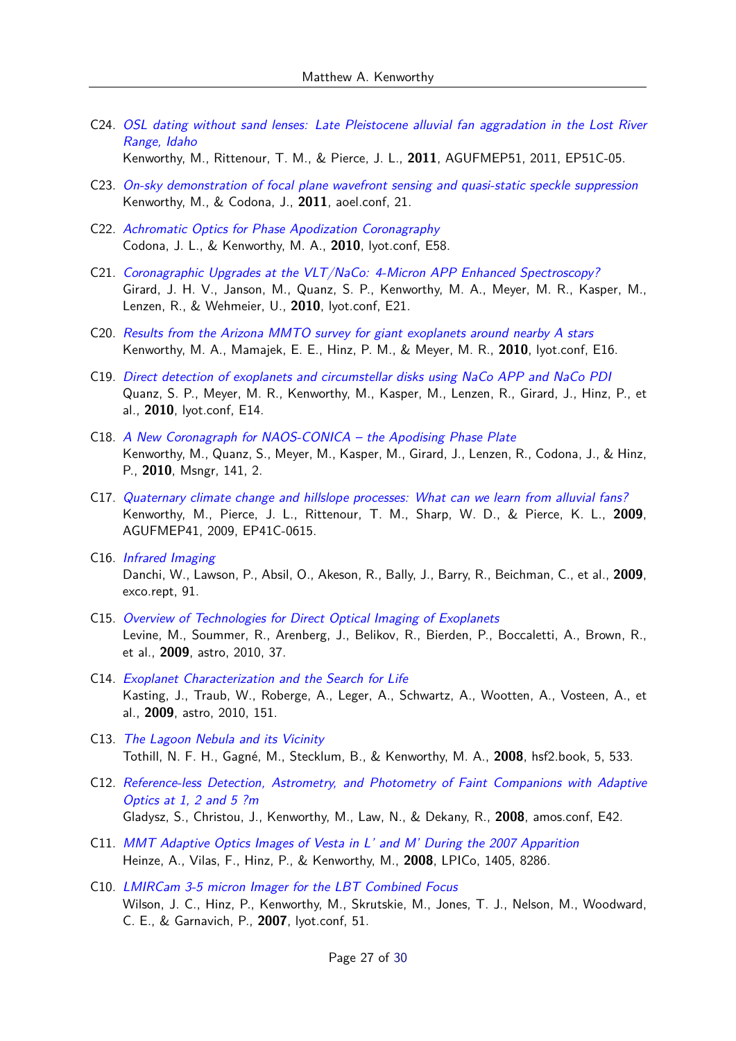C24. [OSL dating without sand lenses: Late Pleistocene alluvial fan aggradation in the Lost River](https://ui.adsabs.harvard.edu/abs/2011AGUFMEP51C..05K) [Range, Idaho](https://ui.adsabs.harvard.edu/abs/2011AGUFMEP51C..05K)

Kenworthy, M., Rittenour, T. M., & Pierce, J. L., **2011**, AGUFMEP51, 2011, EP51C-05.

- C23. [On-sky demonstration of focal plane wavefront sensing and quasi-static speckle suppression](https://ui.adsabs.harvard.edu/abs/2011aoel.confE..21K) Kenworthy, M., & Codona, J., **2011**, aoel.conf, 21.
- C22. [Achromatic Optics for Phase Apodization Coronagraphy](https://ui.adsabs.harvard.edu/abs/2010lyot.confE..58C) Codona, J. L., & Kenworthy, M. A., **2010**, lyot.conf, E58.
- C21. [Coronagraphic Upgrades at the VLT/NaCo: 4-Micron APP Enhanced Spectroscopy?](https://ui.adsabs.harvard.edu/abs/2010lyot.confE..21G) Girard, J. H. V., Janson, M., Quanz, S. P., Kenworthy, M. A., Meyer, M. R., Kasper, M., Lenzen, R., & Wehmeier, U., **2010**, lyot.conf, E21.
- C20. [Results from the Arizona MMTO survey for giant exoplanets around nearby A stars](https://ui.adsabs.harvard.edu/abs/2010lyot.confE..16K) Kenworthy, M. A., Mamajek, E. E., Hinz, P. M., & Meyer, M. R., **2010**, lyot.conf, E16.
- C19. [Direct detection of exoplanets and circumstellar disks using NaCo APP and NaCo PDI](https://ui.adsabs.harvard.edu/abs/2010lyot.confE..14Q) Quanz, S. P., Meyer, M. R., Kenworthy, M., Kasper, M., Lenzen, R., Girard, J., Hinz, P., et al., **2010**, lyot.conf, E14.
- C18. [A New Coronagraph for NAOS-CONICA the Apodising Phase Plate](https://ui.adsabs.harvard.edu/abs/2010Msngr.141....2K) Kenworthy, M., Quanz, S., Meyer, M., Kasper, M., Girard, J., Lenzen, R., Codona, J., & Hinz, P., **2010**, Msngr, 141, 2.
- C17. [Quaternary climate change and hillslope processes: What can we learn from alluvial fans?](https://ui.adsabs.harvard.edu/abs/2009AGUFMEP41C0615K) Kenworthy, M., Pierce, J. L., Rittenour, T. M., Sharp, W. D., & Pierce, K. L., **2009**, AGUFMEP41, 2009, EP41C-0615.
- C16. [Infrared Imaging](https://ui.adsabs.harvard.edu/abs/2009exco.rept...91D) Danchi, W., Lawson, P., Absil, O., Akeson, R., Bally, J., Barry, R., Beichman, C., et al., **2009**, exco.rept, 91.
- C15. [Overview of Technologies for Direct Optical Imaging of Exoplanets](https://ui.adsabs.harvard.edu/abs/2009astro2010T..37L) Levine, M., Soummer, R., Arenberg, J., Belikov, R., Bierden, P., Boccaletti, A., Brown, R., et al., **2009**, astro, 2010, 37.
- C14. [Exoplanet Characterization and the Search for Life](https://ui.adsabs.harvard.edu/abs/2009astro2010S.151K) Kasting, J., Traub, W., Roberge, A., Leger, A., Schwartz, A., Wootten, A., Vosteen, A., et al., **2009**, astro, 2010, 151.
- C13. [The Lagoon Nebula and its Vicinity](https://ui.adsabs.harvard.edu/abs/2008hsf2.book..533T) Tothill, N. F. H., Gagné, M., Stecklum, B., & Kenworthy, M. A., **2008**, hsf2.book, 5, 533.
- C12. [Reference-less Detection, Astrometry, and Photometry of Faint Companions with Adaptive](https://ui.adsabs.harvard.edu/abs/2008amos.confE..42G) [Optics at 1, 2 and 5 ?m](https://ui.adsabs.harvard.edu/abs/2008amos.confE..42G) Gladysz, S., Christou, J., Kenworthy, M., Law, N., & Dekany, R., **2008**, amos.conf, E42.
- C11. [MMT Adaptive Optics Images of Vesta in L' and M' During the 2007 Apparition](https://ui.adsabs.harvard.edu/abs/2008LPICo1405.8286H) Heinze, A., Vilas, F., Hinz, P., & Kenworthy, M., **2008**, LPICo, 1405, 8286.
- C10. [LMIRCam 3-5 micron Imager for the LBT Combined Focus](https://ui.adsabs.harvard.edu/abs/2007lyot.confE..51W) Wilson, J. C., Hinz, P., Kenworthy, M., Skrutskie, M., Jones, T. J., Nelson, M., Woodward, C. E., & Garnavich, P., **2007**, lyot.conf, 51.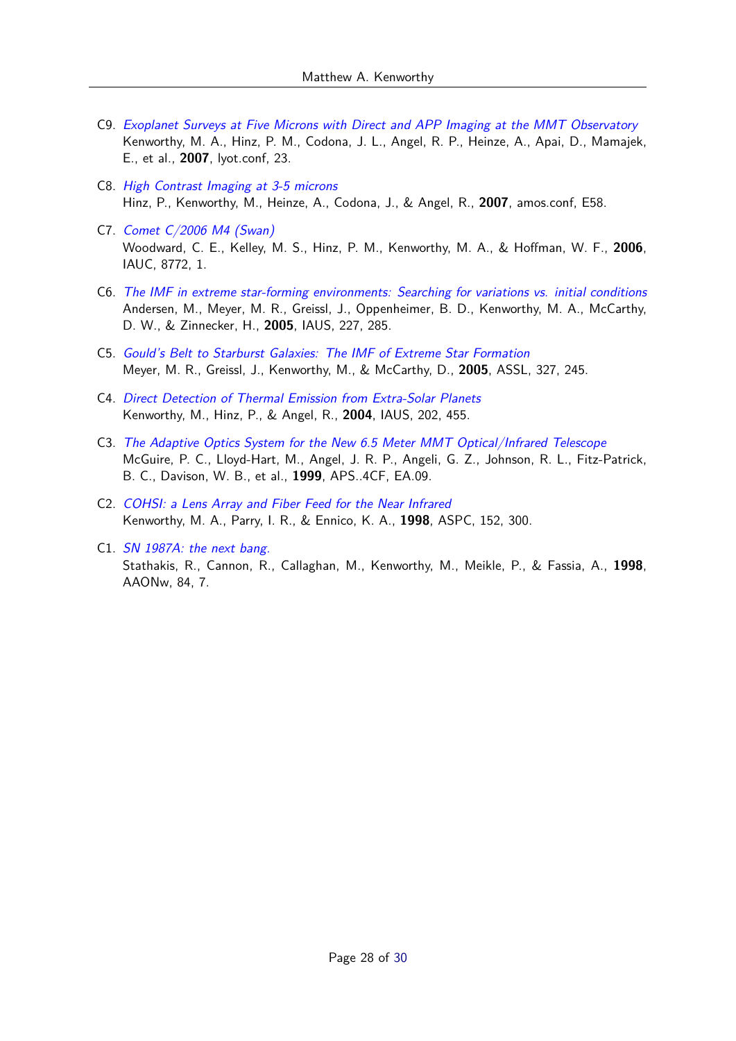- C9. [Exoplanet Surveys at Five Microns with Direct and APP Imaging at the MMT Observatory](https://ui.adsabs.harvard.edu/abs/2007lyot.confE..23K) Kenworthy, M. A., Hinz, P. M., Codona, J. L., Angel, R. P., Heinze, A., Apai, D., Mamajek, E., et al., **2007**, lyot.conf, 23.
- C8. [High Contrast Imaging at 3-5 microns](https://ui.adsabs.harvard.edu/abs/2007amos.confE..58H) Hinz, P., Kenworthy, M., Heinze, A., Codona, J., & Angel, R., **2007**, amos.conf, E58.
- C7. [Comet C/2006 M4 \(Swan\)](https://ui.adsabs.harvard.edu/abs/2006IAUC.8772....1W) Woodward, C. E., Kelley, M. S., Hinz, P. M., Kenworthy, M. A., & Hoffman, W. F., **2006**, IAUC, 8772, 1.
- C6. [The IMF in extreme star-forming environments: Searching for variations vs. initial conditions](https://ui.adsabs.harvard.edu/abs/2005IAUS..227..285A) Andersen, M., Meyer, M. R., Greissl, J., Oppenheimer, B. D., Kenworthy, M. A., McCarthy, D. W., & Zinnecker, H., **2005**, IAUS, 227, 285.
- C5. [Gould's Belt to Starburst Galaxies: The IMF of Extreme Star Formation](https://ui.adsabs.harvard.edu/abs/2005ASSL..327..245M) Meyer, M. R., Greissl, J., Kenworthy, M., & McCarthy, D., **2005**, ASSL, 327, 245.
- C4. [Direct Detection of Thermal Emission from Extra-Solar Planets](https://ui.adsabs.harvard.edu/abs/2004IAUS..202..455K) Kenworthy, M., Hinz, P., & Angel, R., **2004**, IAUS, 202, 455.
- C3. [The Adaptive Optics System for the New 6.5 Meter MMT Optical/Infrared Telescope](https://ui.adsabs.harvard.edu/abs/1999APS..4CF..EA09M) McGuire, P. C., Lloyd-Hart, M., Angel, J. R. P., Angeli, G. Z., Johnson, R. L., Fitz-Patrick, B. C., Davison, W. B., et al., **1999**, APS..4CF, EA.09.
- C2. [COHSI: a Lens Array and Fiber Feed for the Near Infrared](https://ui.adsabs.harvard.edu/abs/1998ASPC..152..300K) Kenworthy, M. A., Parry, I. R., & Ennico, K. A., **1998**, ASPC, 152, 300.
- C1. [SN 1987A: the next bang.](https://ui.adsabs.harvard.edu/abs/1998AAONw..84....7S) Stathakis, R., Cannon, R., Callaghan, M., Kenworthy, M., Meikle, P., & Fassia, A., **1998**, AAONw, 84, 7.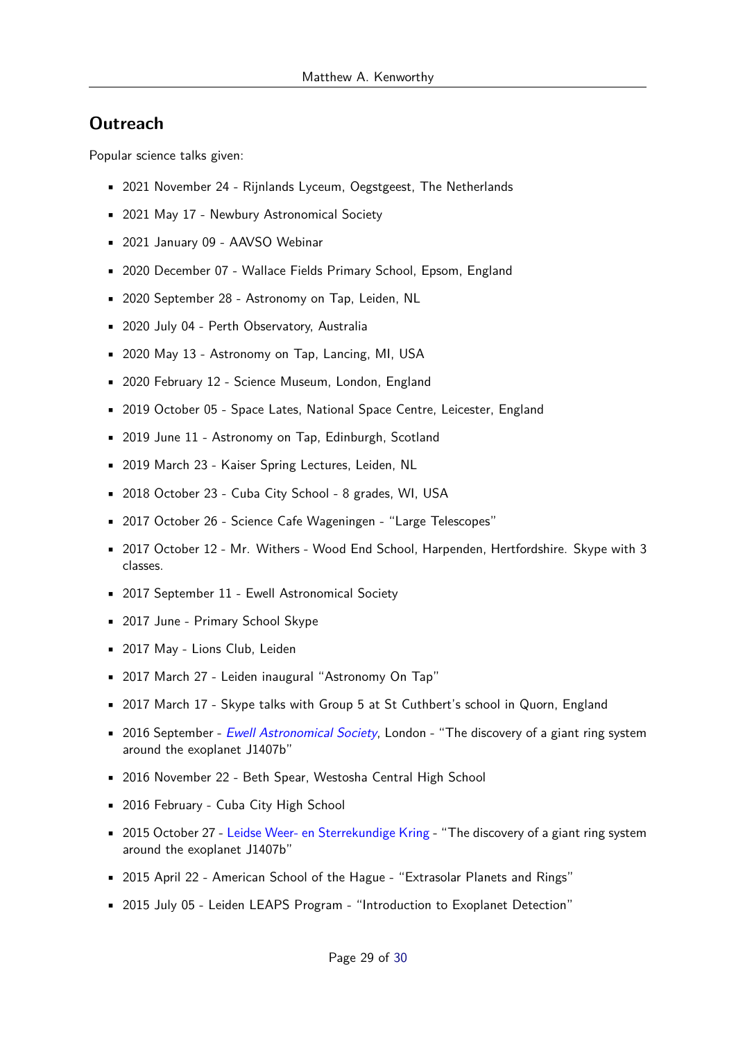## **Outreach**

Popular science talks given:

- 2021 November 24 Rijnlands Lyceum, Oegstgeest, The Netherlands
- 2021 May 17 Newbury Astronomical Society
- 2021 January 09 AAVSO Webinar
- 2020 December 07 Wallace Fields Primary School, Epsom, England
- 2020 September 28 Astronomy on Tap, Leiden, NL
- 2020 July 04 Perth Observatory, Australia
- 2020 May 13 Astronomy on Tap, Lancing, MI, USA
- 2020 February 12 Science Museum, London, England
- 2019 October 05 Space Lates, National Space Centre, Leicester, England
- 2019 June 11 Astronomy on Tap, Edinburgh, Scotland
- 2019 March 23 Kaiser Spring Lectures, Leiden, NL
- 2018 October 23 Cuba City School 8 grades, WI, USA
- 2017 October 26 Science Cafe Wageningen "Large Telescopes"
- 2017 October 12 Mr. Withers Wood End School, Harpenden, Hertfordshire. Skype with 3 classes.
- 2017 September 11 Ewell Astronomical Society
- 2017 June Primary School Skype
- 2017 May Lions Club, Leiden
- 2017 March 27 Leiden inaugural "Astronomy On Tap"
- 2017 March 17 Skype talks with Group 5 at St Cuthbert's school in Quorn, England
- 2016 September [Ewell Astronomical Society](http://www.ewellastro.org/), London "The discovery of a giant ring system around the exoplanet J1407b"
- 2016 November 22 Beth Spear, Westosha Central High School
- 2016 February Cuba City High School
- 2015 October 27 [Leidse Weer- en Sterrekundige Kring](http://lwsk.nl/) "The discovery of a giant ring system around the exoplanet J1407b"
- 2015 April 22 American School of the Hague "Extrasolar Planets and Rings"
- 2015 July 05 Leiden LEAPS Program "Introduction to Exoplanet Detection"